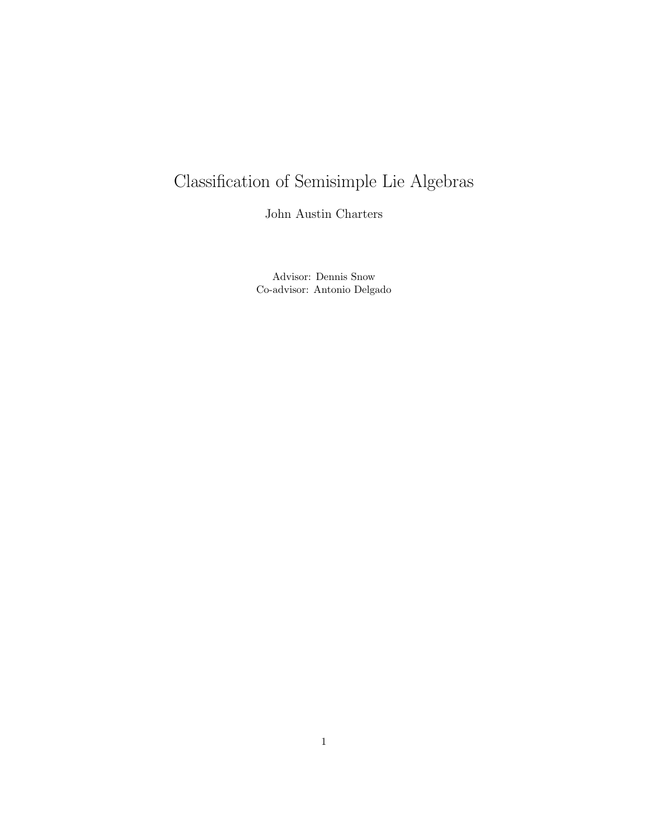# Classification of Semisimple Lie Algebras

John Austin Charters

Advisor: Dennis Snow Co-advisor: Antonio Delgado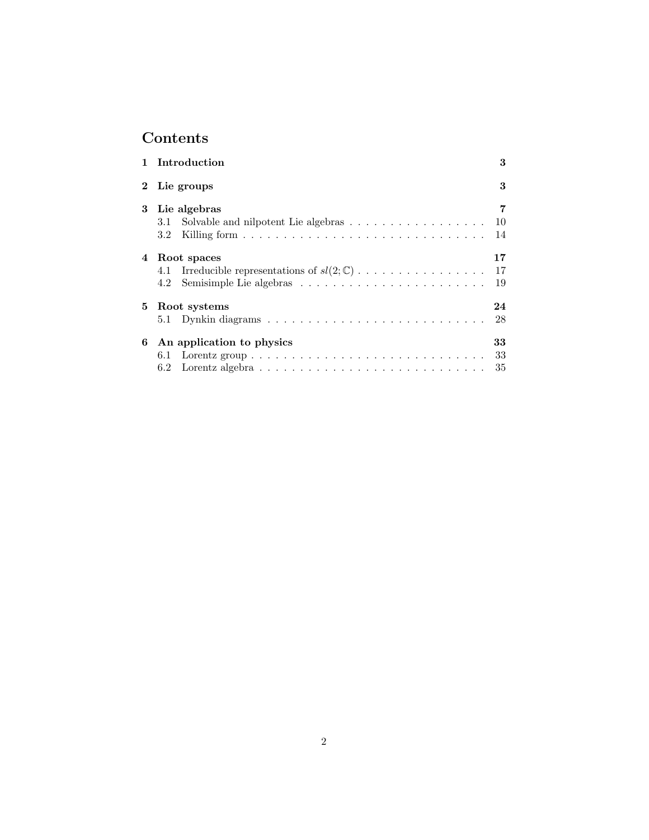## Contents

|          | 1 Introduction                                                                                                                  | 3              |
|----------|---------------------------------------------------------------------------------------------------------------------------------|----------------|
| $\bf{2}$ | Lie groups                                                                                                                      | 3              |
| 3        | Lie algebras<br>3.1<br>3.2                                                                                                      | 7<br>10<br>14  |
| 4        | Root spaces<br>Irreducible representations of $sl(2;\mathbb{C})$<br>4.1<br>4.2                                                  | 17<br>17<br>19 |
| 5.       | Root systems                                                                                                                    | 24<br>28       |
| 6        | An application to physics<br>6.1<br>6.2 Lorentz algebra $\ldots \ldots \ldots \ldots \ldots \ldots \ldots \ldots \ldots \ldots$ | 33<br>33<br>35 |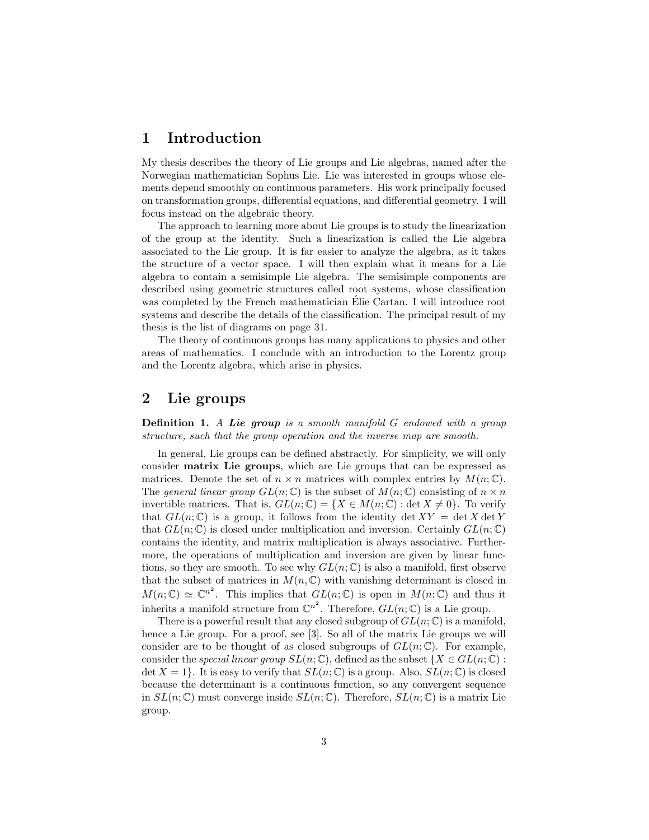## 1 Introduction

My thesis describes the theory of Lie groups and Lie algebras, named after the Norwegian mathematician Sophus Lie. Lie was interested in groups whose elements depend smoothly on continuous parameters. His work principally focused on transformation groups, differential equations, and differential geometry. I will focus instead on the algebraic theory.

The approach to learning more about Lie groups is to study the linearization of the group at the identity. Such a linearization is called the Lie algebra associated to the Lie group. It is far easier to analyze the algebra, as it takes the structure of a vector space. I will then explain what it means for a Lie algebra to contain a semisimple Lie algebra. The semisimple components are described using geometric structures called root systems, whose classification was completed by the French mathematician Elie Cartan. I will introduce root systems and describe the details of the classification. The principal result of my thesis is the list of diagrams on page 31.

The theory of continuous groups has many applications to physics and other areas of mathematics. I conclude with an introduction to the Lorentz group and the Lorentz algebra, which arise in physics.

## 2 Lie groups

Definition 1. A Lie group is a smooth manifold G endowed with a group structure, such that the group operation and the inverse map are smooth.

In general, Lie groups can be defined abstractly. For simplicity, we will only consider matrix Lie groups, which are Lie groups that can be expressed as matrices. Denote the set of  $n \times n$  matrices with complex entries by  $M(n;\mathbb{C})$ . The general linear group  $GL(n;\mathbb{C})$  is the subset of  $M(n;\mathbb{C})$  consisting of  $n \times n$ invertible matrices. That is,  $GL(n;\mathbb{C}) = \{X \in M(n;\mathbb{C}) : \det X \neq 0\}$ . To verify that  $GL(n;\mathbb{C})$  is a group, it follows from the identity det  $XY = \det X \det Y$ that  $GL(n;\mathbb{C})$  is closed under multiplication and inversion. Certainly  $GL(n;\mathbb{C})$ contains the identity, and matrix multiplication is always associative. Furthermore, the operations of multiplication and inversion are given by linear functions, so they are smooth. To see why  $GL(n;\mathbb{C})$  is also a manifold, first observe that the subset of matrices in  $M(n, \mathbb{C})$  with vanishing determinant is closed in  $M(n;\mathbb{C}) \simeq \mathbb{C}^{n^2}$ . This implies that  $GL(n;\mathbb{C})$  is open in  $M(n;\mathbb{C})$  and thus it inherits a manifold structure from  $\mathbb{C}^{n^2}$ . Therefore,  $GL(n;\mathbb{C})$  is a Lie group.

There is a powerful result that any closed subgroup of  $GL(n;\mathbb{C})$  is a manifold, hence a Lie group. For a proof, see [3]. So all of the matrix Lie groups we will consider are to be thought of as closed subgroups of  $GL(n;\mathbb{C})$ . For example, consider the special linear group  $SL(n;\mathbb{C})$ , defined as the subset  $\{X \in GL(n;\mathbb{C})$ : det  $X = 1$ . It is easy to verify that  $SL(n, \mathbb{C})$  is a group. Also,  $SL(n, \mathbb{C})$  is closed because the determinant is a continuous function, so any convergent sequence in  $SL(n;\mathbb{C})$  must converge inside  $SL(n;\mathbb{C})$ . Therefore,  $SL(n;\mathbb{C})$  is a matrix Lie group.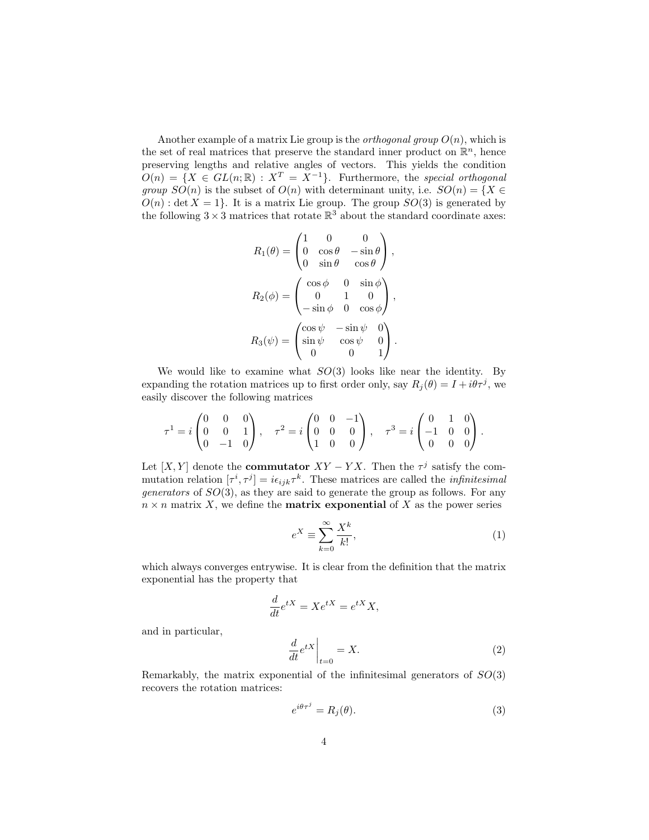Another example of a matrix Lie group is the *orthogonal group*  $O(n)$ , which is the set of real matrices that preserve the standard inner product on  $\mathbb{R}^n$ , hence preserving lengths and relative angles of vectors. This yields the condition  $O(n) = \{X \in GL(n;\mathbb{R}) : X^T = X^{-1}\}.$  Furthermore, the special orthogonal group  $SO(n)$  is the subset of  $O(n)$  with determinant unity, i.e.  $SO(n) = \{X \in$  $O(n)$ : det  $X = 1$ . It is a matrix Lie group. The group  $SO(3)$  is generated by the following  $3 \times 3$  matrices that rotate  $\mathbb{R}^3$  about the standard coordinate axes:

$$
R_1(\theta) = \begin{pmatrix} 1 & 0 & 0 \\ 0 & \cos \theta & -\sin \theta \\ 0 & \sin \theta & \cos \theta \end{pmatrix},
$$
  
\n
$$
R_2(\phi) = \begin{pmatrix} \cos \phi & 0 & \sin \phi \\ 0 & 1 & 0 \\ -\sin \phi & 0 & \cos \phi \end{pmatrix},
$$
  
\n
$$
R_3(\psi) = \begin{pmatrix} \cos \psi & -\sin \psi & 0 \\ \sin \psi & \cos \psi & 0 \\ 0 & 0 & 1 \end{pmatrix}.
$$

We would like to examine what  $SO(3)$  looks like near the identity. By expanding the rotation matrices up to first order only, say  $R_j(\theta) = I + i\theta\tau^j$ , we easily discover the following matrices

$$
\tau^1 = i \begin{pmatrix} 0 & 0 & 0 \\ 0 & 0 & 1 \\ 0 & -1 & 0 \end{pmatrix}, \quad \tau^2 = i \begin{pmatrix} 0 & 0 & -1 \\ 0 & 0 & 0 \\ 1 & 0 & 0 \end{pmatrix}, \quad \tau^3 = i \begin{pmatrix} 0 & 1 & 0 \\ -1 & 0 & 0 \\ 0 & 0 & 0 \end{pmatrix}.
$$

Let [X, Y] denote the **commutator**  $XY - YX$ . Then the  $\tau^{j}$  satisfy the commutation relation  $[\tau^i, \tau^j] = i\epsilon_{ijk}\tau^k$ . These matrices are called the *infinitesimal generators* of  $SO(3)$ , as they are said to generate the group as follows. For any  $n \times n$  matrix X, we define the **matrix exponential** of X as the power series

$$
e^X \equiv \sum_{k=0}^{\infty} \frac{X^k}{k!},\tag{1}
$$

which always converges entrywise. It is clear from the definition that the matrix exponential has the property that

$$
\frac{d}{dt}e^{tX} = Xe^{tX} = e^{tX}X,
$$

and in particular,

$$
\left. \frac{d}{dt} e^{tX} \right|_{t=0} = X. \tag{2}
$$

Remarkably, the matrix exponential of the infinitesimal generators of  $SO(3)$ recovers the rotation matrices:

$$
e^{i\theta \tau^j} = R_j(\theta). \tag{3}
$$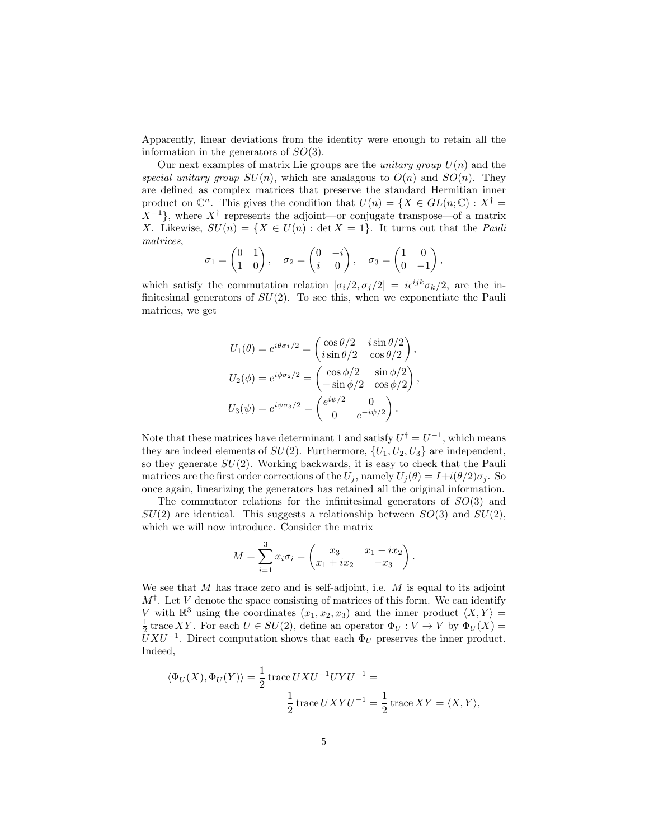Apparently, linear deviations from the identity were enough to retain all the information in the generators of  $SO(3)$ .

Our next examples of matrix Lie groups are the *unitary group*  $U(n)$  and the special unitary group  $SU(n)$ , which are analagous to  $O(n)$  and  $SO(n)$ . They are defined as complex matrices that preserve the standard Hermitian inner product on  $\mathbb{C}^n$ . This gives the condition that  $U(n) = \{X \in GL(n;\mathbb{C}) : X^{\dagger} =$  $X^{-1}$ , where  $X^{\dagger}$  represents the adjoint—or conjugate transpose—of a matrix X. Likewise,  $SU(n) = \{X \in U(n) : \det X = 1\}$ . It turns out that the *Pauli* matrices,

$$
\sigma_1 = \begin{pmatrix} 0 & 1 \\ 1 & 0 \end{pmatrix}, \quad \sigma_2 = \begin{pmatrix} 0 & -i \\ i & 0 \end{pmatrix}, \quad \sigma_3 = \begin{pmatrix} 1 & 0 \\ 0 & -1 \end{pmatrix},
$$

which satisfy the commutation relation  $[\sigma_i/2, \sigma_j/2] = i\epsilon^{ijk}\sigma_k/2$ , are the infinitesimal generators of  $SU(2)$ . To see this, when we exponentiate the Pauli matrices, we get

$$
U_1(\theta) = e^{i\theta \sigma_1/2} = \begin{pmatrix} \cos \theta/2 & i \sin \theta/2 \\ i \sin \theta/2 & \cos \theta/2 \end{pmatrix},
$$
  
\n
$$
U_2(\phi) = e^{i\phi \sigma_2/2} = \begin{pmatrix} \cos \phi/2 & \sin \phi/2 \\ -\sin \phi/2 & \cos \phi/2 \end{pmatrix},
$$
  
\n
$$
U_3(\psi) = e^{i\psi \sigma_3/2} = \begin{pmatrix} e^{i\psi/2} & 0 \\ 0 & e^{-i\psi/2} \end{pmatrix}.
$$

Note that these matrices have determinant 1 and satisfy  $U^{\dagger} = U^{-1}$ , which means they are indeed elements of  $SU(2)$ . Furthermore,  $\{U_1, U_2, U_3\}$  are independent, so they generate  $SU(2)$ . Working backwards, it is easy to check that the Pauli matrices are the first order corrections of the  $U_j$ , namely  $U_j(\theta) = I + i(\theta/2)\sigma_j$ . So once again, linearizing the generators has retained all the original information.

The commutator relations for the infinitesimal generators of  $SO(3)$  and  $SU(2)$  are identical. This suggests a relationship between  $SO(3)$  and  $SU(2)$ , which we will now introduce. Consider the matrix

$$
M = \sum_{i=1}^{3} x_i \sigma_i = \begin{pmatrix} x_3 & x_1 - ix_2 \\ x_1 + ix_2 & -x_3 \end{pmatrix}.
$$

We see that M has trace zero and is self-adjoint, i.e.  $M$  is equal to its adjoint  $M^{\dagger}$ . Let V denote the space consisting of matrices of this form. We can identify V with  $\mathbb{R}^3$  using the coordinates  $(x_1, x_2, x_3)$  and the inner product  $\langle X, Y \rangle =$  $\frac{1}{2}$  trace XY. For each  $U \in SU(2)$ , define an operator  $\Phi_U : V \to V$  by  $\Phi_U(X) =$  $\bar{U}XU^{-1}$ . Direct computation shows that each  $\Phi_U$  preserves the inner product. Indeed,

$$
\langle \Phi_U(X), \Phi_U(Y) \rangle = \frac{1}{2} \operatorname{trace} U X U^{-1} U Y U^{-1} =
$$
  

$$
\frac{1}{2} \operatorname{trace} U X Y U^{-1} = \frac{1}{2} \operatorname{trace} XY = \langle X, Y \rangle,
$$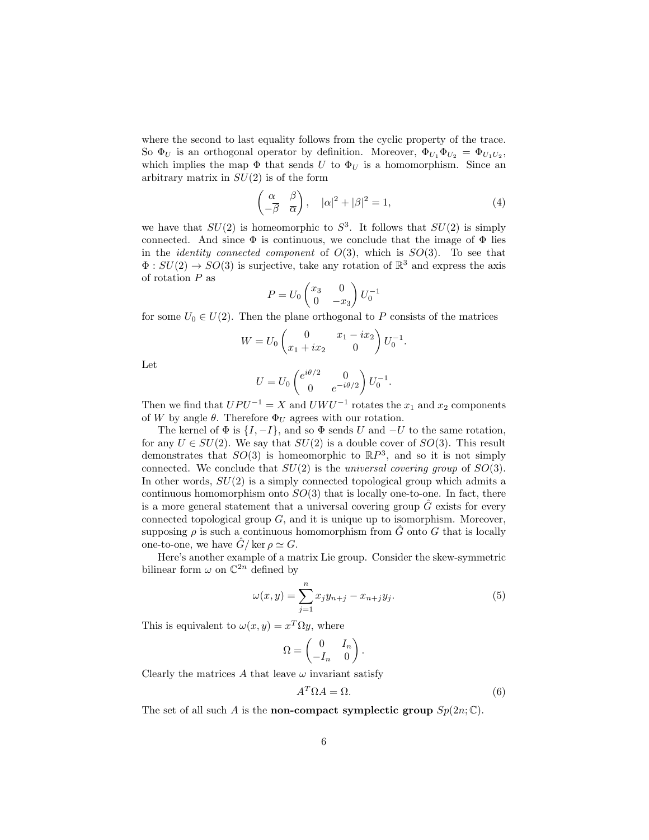where the second to last equality follows from the cyclic property of the trace. So  $\Phi_U$  is an orthogonal operator by definition. Moreover,  $\Phi_{U_1}\Phi_{U_2} = \Phi_{U_1U_2}$ , which implies the map  $\Phi$  that sends U to  $\Phi_U$  is a homomorphism. Since an arbitrary matrix in  $SU(2)$  is of the form

$$
\begin{pmatrix} \alpha & \beta \\ -\overline{\beta} & \overline{\alpha} \end{pmatrix}, \quad |\alpha|^2 + |\beta|^2 = 1,
$$
\n(4)

we have that  $SU(2)$  is homeomorphic to  $S^3$ . It follows that  $SU(2)$  is simply connected. And since  $\Phi$  is continuous, we conclude that the image of  $\Phi$  lies in the *identity connected component* of  $O(3)$ , which is  $SO(3)$ . To see that  $\Phi: SU(2) \to SO(3)$  is surjective, take any rotation of  $\mathbb{R}^3$  and express the axis of rotation  $P$  as

$$
P = U_0 \begin{pmatrix} x_3 & 0 \\ 0 & -x_3 \end{pmatrix} U_0^{-1}
$$

for some  $U_0 \in U(2)$ . Then the plane orthogonal to P consists of the matrices

$$
W = U_0 \begin{pmatrix} 0 & x_1 - ix_2 \ x_1 + ix_2 & 0 \end{pmatrix} U_0^{-1}.
$$

Let

$$
U = U_0 \begin{pmatrix} e^{i\theta/2} & 0 \\ 0 & e^{-i\theta/2} \end{pmatrix} U_0^{-1}.
$$

Then we find that  $UPU^{-1} = X$  and  $UWU^{-1}$  rotates the  $x_1$  and  $x_2$  components of W by angle  $\theta$ . Therefore  $\Phi_U$  agrees with our rotation.

The kernel of  $\Phi$  is  $\{I, -I\}$ , and so  $\Phi$  sends U and  $-U$  to the same rotation, for any  $U \in SU(2)$ . We say that  $SU(2)$  is a double cover of  $SO(3)$ . This result demonstrates that  $SO(3)$  is homeomorphic to  $\mathbb{R}P^3$ , and so it is not simply connected. We conclude that  $SU(2)$  is the universal covering group of  $SO(3)$ . In other words,  $SU(2)$  is a simply connected topological group which admits a continuous homomorphism onto  $SO(3)$  that is locally one-to-one. In fact, there is a more general statement that a universal covering group  $\tilde{G}$  exists for every connected topological group  $G$ , and it is unique up to isomorphism. Moreover, supposing  $\rho$  is such a continuous homomorphism from G onto G that is locally one-to-one, we have  $\hat{G}/\ker \rho \simeq G$ .

Here's another example of a matrix Lie group. Consider the skew-symmetric bilinear form  $\omega$  on  $\mathbb{C}^{2n}$  defined by

$$
\omega(x,y) = \sum_{j=1}^{n} x_j y_{n+j} - x_{n+j} y_j.
$$
 (5)

This is equivalent to  $\omega(x, y) = x^T \Omega y$ , where

$$
\Omega = \begin{pmatrix} 0 & I_n \\ -I_n & 0 \end{pmatrix}.
$$

Clearly the matrices A that leave  $\omega$  invariant satisfy

$$
A^T \Omega A = \Omega. \tag{6}
$$

The set of all such A is the **non-compact symplectic group**  $Sp(2n;\mathbb{C})$ .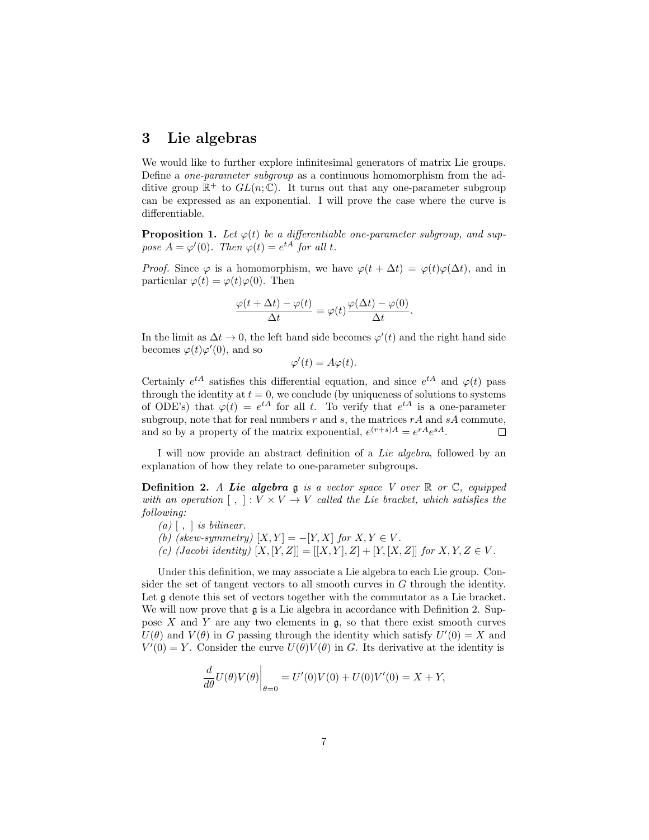## 3 Lie algebras

We would like to further explore infinitesimal generators of matrix Lie groups. Define a one-parameter subgroup as a continuous homomorphism from the additive group  $\mathbb{R}^+$  to  $GL(n;\mathbb{C})$ . It turns out that any one-parameter subgroup can be expressed as an exponential. I will prove the case where the curve is differentiable.

**Proposition 1.** Let  $\varphi(t)$  be a differentiable one-parameter subgroup, and suppose  $A = \varphi'(0)$ . Then  $\varphi(t) = e^{tA}$  for all t.

*Proof.* Since  $\varphi$  is a homomorphism, we have  $\varphi(t + \Delta t) = \varphi(t)\varphi(\Delta t)$ , and in particular  $\varphi(t) = \varphi(t)\varphi(0)$ . Then

$$
\frac{\varphi(t+\Delta t)-\varphi(t)}{\Delta t}=\varphi(t)\frac{\varphi(\Delta t)-\varphi(0)}{\Delta t}.
$$

In the limit as  $\Delta t \to 0$ , the left hand side becomes  $\varphi'(t)$  and the right hand side becomes  $\varphi(t)\varphi'(0)$ , and so

$$
\varphi'(t) = A\varphi(t).
$$

Certainly  $e^{tA}$  satisfies this differential equation, and since  $e^{tA}$  and  $\varphi(t)$  pass through the identity at  $t = 0$ , we conclude (by uniqueness of solutions to systems of ODE's) that  $\varphi(t) = e^{tA}$  for all t. To verify that  $e^{tA}$  is a one-parameter subgroup, note that for real numbers  $r$  and  $s$ , the matrices  $rA$  and  $sA$  commute, and so by a property of the matrix exponential,  $e^{(r+s)A} = e^{rA}e^{sA}$ .  $\Box$ 

I will now provide an abstract definition of a Lie algebra, followed by an explanation of how they relate to one-parameter subgroups.

**Definition 2.** A Lie algebra g is a vector space V over  $\mathbb{R}$  or  $\mathbb{C}$ , equipped with an operation  $[ , ] : V \times V \rightarrow V$  called the Lie bracket, which satisfies the following:

- $(a)$   $\lceil$ ,  $\rceil$  is bilinear.
- (b) (skew-symmetry)  $[X, Y] = -[Y, X]$  for  $X, Y \in V$ .
- (c) (Jacobi identity)  $[X, [Y, Z]] = [[X, Y], Z] + [Y, [X, Z]]$  for  $X, Y, Z \in V$ .

Under this definition, we may associate a Lie algebra to each Lie group. Consider the set of tangent vectors to all smooth curves in G through the identity. Let  $\mathfrak g$  denote this set of vectors together with the commutator as a Lie bracket. We will now prove that  $\mathfrak g$  is a Lie algebra in accordance with Definition 2. Suppose  $X$  and  $Y$  are any two elements in  $\mathfrak{g}$ , so that there exist smooth curves  $U(\theta)$  and  $V(\theta)$  in G passing through the identity which satisfy  $U'(0) = X$  and  $V'(0) = Y$ . Consider the curve  $U(\theta)V(\theta)$  in G. Its derivative at the identity is

$$
\frac{d}{d\theta}U(\theta)V(\theta)\Big|_{\theta=0} = U'(0)V(0) + U(0)V'(0) = X + Y,
$$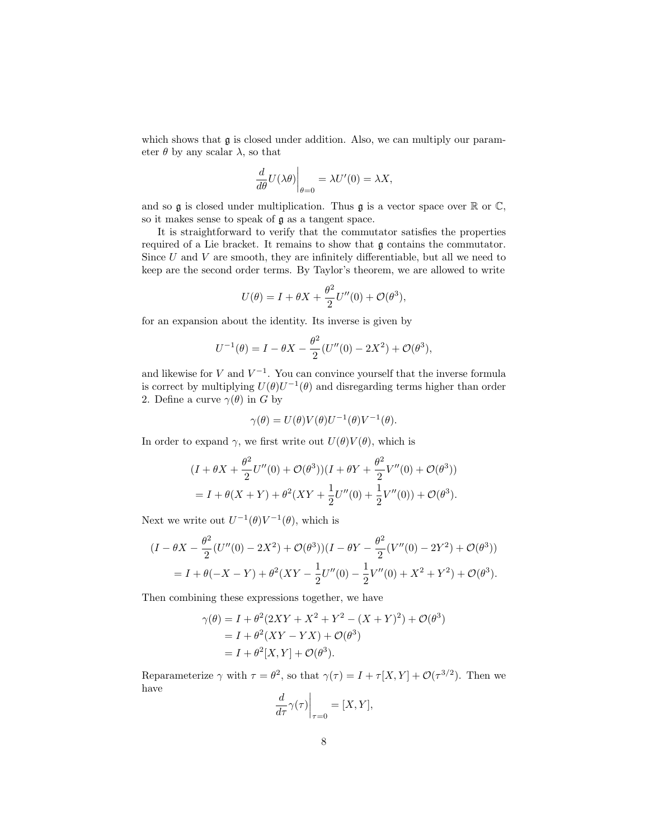which shows that  $\mathfrak g$  is closed under addition. Also, we can multiply our parameter  $\theta$  by any scalar  $\lambda$ , so that

$$
\left. \frac{d}{d\theta} U(\lambda \theta) \right|_{\theta=0} = \lambda U'(0) = \lambda X,
$$

and so  $\mathfrak g$  is closed under multiplication. Thus  $\mathfrak g$  is a vector space over  $\mathbb R$  or  $\mathbb C$ , so it makes sense to speak of g as a tangent space.

It is straightforward to verify that the commutator satisfies the properties required of a Lie bracket. It remains to show that  $\mathfrak g$  contains the commutator. Since  $U$  and  $V$  are smooth, they are infinitely differentiable, but all we need to keep are the second order terms. By Taylor's theorem, we are allowed to write

$$
U(\theta) = I + \theta X + \frac{\theta^2}{2}U''(0) + \mathcal{O}(\theta^3),
$$

for an expansion about the identity. Its inverse is given by

$$
U^{-1}(\theta) = I - \theta X - \frac{\theta^2}{2} (U''(0) - 2X^2) + \mathcal{O}(\theta^3),
$$

and likewise for V and  $V^{-1}$ . You can convince yourself that the inverse formula is correct by multiplying  $U(\theta)U^{-1}(\theta)$  and disregarding terms higher than order 2. Define a curve  $\gamma(\theta)$  in G by

$$
\gamma(\theta) = U(\theta)V(\theta)U^{-1}(\theta)V^{-1}(\theta).
$$

In order to expand  $\gamma$ , we first write out  $U(\theta)V(\theta)$ , which is

$$
(I + \theta X + \frac{\theta^2}{2}U''(0) + \mathcal{O}(\theta^3))(I + \theta Y + \frac{\theta^2}{2}V''(0) + \mathcal{O}(\theta^3))
$$
  
=  $I + \theta(X + Y) + \theta^2(XY + \frac{1}{2}U''(0) + \frac{1}{2}V''(0)) + \mathcal{O}(\theta^3).$ 

Next we write out  $U^{-1}(\theta)V^{-1}(\theta)$ , which is

$$
(I - \theta X - \frac{\theta^2}{2}(U''(0) - 2X^2) + \mathcal{O}(\theta^3))(I - \theta Y - \frac{\theta^2}{2}(V''(0) - 2Y^2) + \mathcal{O}(\theta^3))
$$
  
=  $I + \theta(-X - Y) + \theta^2 (XY - \frac{1}{2}U''(0) - \frac{1}{2}V''(0) + X^2 + Y^2) + \mathcal{O}(\theta^3).$ 

Then combining these expressions together, we have

$$
\gamma(\theta) = I + \theta^2 (2XY + X^2 + Y^2 - (X + Y)^2) + \mathcal{O}(\theta^3)
$$
  
= I + \theta^2 (XY - YX) + \mathcal{O}(\theta^3)  
= I + \theta^2 [X, Y] + \mathcal{O}(\theta^3).

Reparameterize  $\gamma$  with  $\tau = \theta^2$ , so that  $\gamma(\tau) = I + \tau[X, Y] + \mathcal{O}(\tau^{3/2})$ . Then we have

$$
\left. \frac{d}{d\tau} \gamma(\tau) \right|_{\tau=0} = [X, Y],
$$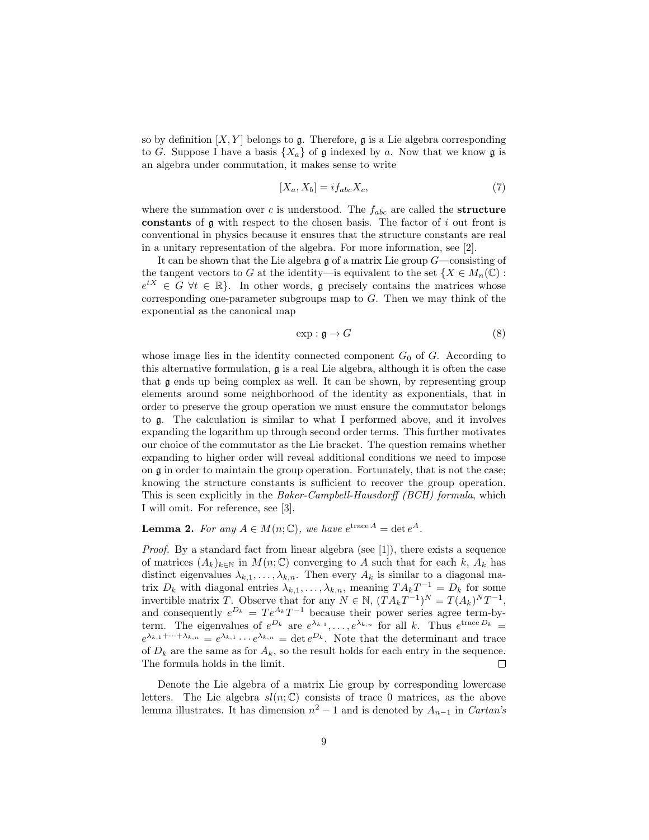so by definition  $[X, Y]$  belongs to  $\mathfrak g$ . Therefore,  $\mathfrak g$  is a Lie algebra corresponding to G. Suppose I have a basis  $\{X_a\}$  of g indexed by a. Now that we know g is an algebra under commutation, it makes sense to write

$$
[X_a, X_b] = i f_{abc} X_c,
$$
\n<sup>(7)</sup>

where the summation over c is understood. The  $f_{abc}$  are called the **structure** constants of  $\mathfrak g$  with respect to the chosen basis. The factor of i out front is conventional in physics because it ensures that the structure constants are real in a unitary representation of the algebra. For more information, see [2].

It can be shown that the Lie algebra  $\mathfrak g$  of a matrix Lie group  $G$ —consisting of the tangent vectors to G at the identity—is equivalent to the set  $\{X \in M_n(\mathbb{C}) :$  $e^{tX} \in G \ \forall t \in \mathbb{R}$ . In other words, g precisely contains the matrices whose corresponding one-parameter subgroups map to G. Then we may think of the exponential as the canonical map

$$
\exp: \mathfrak{g} \to G \tag{8}
$$

whose image lies in the identity connected component  $G_0$  of G. According to this alternative formulation,  $\boldsymbol{\mathfrak{g}}$  is a real Lie algebra, although it is often the case that g ends up being complex as well. It can be shown, by representing group elements around some neighborhood of the identity as exponentials, that in order to preserve the group operation we must ensure the commutator belongs to g. The calculation is similar to what I performed above, and it involves expanding the logarithm up through second order terms. This further motivates our choice of the commutator as the Lie bracket. The question remains whether expanding to higher order will reveal additional conditions we need to impose on g in order to maintain the group operation. Fortunately, that is not the case; knowing the structure constants is sufficient to recover the group operation. This is seen explicitly in the Baker-Campbell-Hausdorff (BCH) formula, which I will omit. For reference, see [3].

**Lemma 2.** For any  $A \in M(n;\mathbb{C})$ , we have  $e^{trace A} = det e^{A}$ .

Proof. By a standard fact from linear algebra (see [1]), there exists a sequence of matrices  $(A_k)_{k\in\mathbb{N}}$  in  $M(n;\mathbb{C})$  converging to A such that for each k,  $A_k$  has distinct eigenvalues  $\lambda_{k,1}, \ldots, \lambda_{k,n}$ . Then every  $A_k$  is similar to a diagonal matrix  $D_k$  with diagonal entries  $\lambda_{k,1}, \ldots, \lambda_{k,n}$ , meaning  $TA_kT^{-1} = D_k$  for some invertible matrix T. Observe that for any  $N \in \mathbb{N}$ ,  $(T A_k T^{-1})^N = T(A_k)^N T^{-1}$ , and consequently  $e^{D_k} = Te^{A_k}T^{-1}$  because their power series agree term-byterm. The eigenvalues of  $e^{D_k}$  are  $e^{\lambda_{k,1}}, \ldots, e^{\lambda_{k,n}}$  for all k. Thus  $e^{trace D_k} =$  $e^{\lambda_{k,1}+\cdots+\lambda_{k,n}}=e^{\lambda_{k,1}}\cdots e^{\lambda_{k,n}}=\det e^{D_k}$ . Note that the determinant and trace of  $D_k$  are the same as for  $A_k$ , so the result holds for each entry in the sequence. The formula holds in the limit.  $\Box$ 

Denote the Lie algebra of a matrix Lie group by corresponding lowercase letters. The Lie algebra  $sl(n;\mathbb{C})$  consists of trace 0 matrices, as the above lemma illustrates. It has dimension  $n^2 - 1$  and is denoted by  $A_{n-1}$  in Cartan's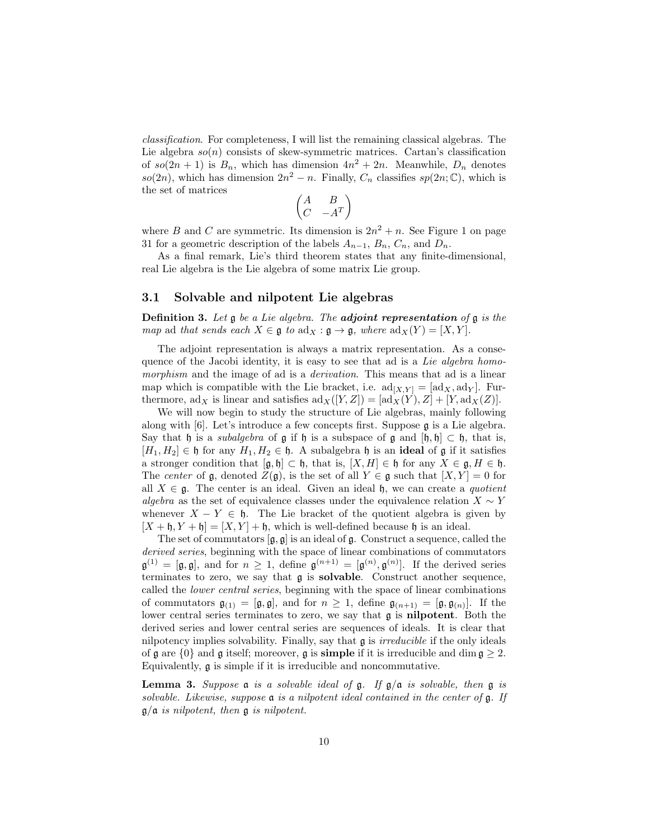classification. For completeness, I will list the remaining classical algebras. The Lie algebra  $so(n)$  consists of skew-symmetric matrices. Cartan's classification of  $so(2n+1)$  is  $B_n$ , which has dimension  $4n^2+2n$ . Meanwhile,  $D_n$  denotes  $so(2n)$ , which has dimension  $2n^2 - n$ . Finally,  $C_n$  classifies  $sp(2n;\mathbb{C})$ , which is the set of matrices

$$
\begin{pmatrix} A & B \\ C & -A^T \end{pmatrix}
$$

where B and C are symmetric. Its dimension is  $2n^2 + n$ . See Figure 1 on page 31 for a geometric description of the labels  $A_{n-1}$ ,  $B_n$ ,  $C_n$ , and  $D_n$ .

As a final remark, Lie's third theorem states that any finite-dimensional, real Lie algebra is the Lie algebra of some matrix Lie group.

#### 3.1 Solvable and nilpotent Lie algebras

**Definition 3.** Let  $\mathfrak g$  be a Lie algebra. The **adjoint representation** of  $\mathfrak g$  is the map ad that sends each  $X \in \mathfrak{g}$  to  $\text{ad}_X : \mathfrak{g} \to \mathfrak{g}$ , where  $\text{ad}_X(Y) = [X, Y]$ .

The adjoint representation is always a matrix representation. As a consequence of the Jacobi identity, it is easy to see that ad is a Lie algebra homomorphism and the image of ad is a *derivation*. This means that ad is a linear map which is compatible with the Lie bracket, i.e.  $\text{ad}_{[X,Y]} = [\text{ad}_X, \text{ad}_Y]$ . Furthermore, ad<sub>X</sub> is linear and satisfies  $\mathrm{ad}_X([Y,Z]) = [\mathrm{ad}_X(Y), Z] + [Y, \mathrm{ad}_X(Z)].$ 

We will now begin to study the structure of Lie algebras, mainly following along with [6]. Let's introduce a few concepts first. Suppose g is a Lie algebra. Say that h is a *subalgebra* of  $\mathfrak g$  if h is a subspace of  $\mathfrak g$  and  $[\mathfrak h, \mathfrak h] \subset \mathfrak h$ , that is,  $[H_1, H_2] \in \mathfrak{h}$  for any  $H_1, H_2 \in \mathfrak{h}$ . A subalgebra  $\mathfrak{h}$  is an **ideal** of  $\mathfrak{g}$  if it satisfies a stronger condition that  $[\mathfrak{g}, \mathfrak{h}] \subset \mathfrak{h}$ , that is,  $[X, H] \in \mathfrak{h}$  for any  $X \in \mathfrak{g}, H \in \mathfrak{h}$ . The center of  $\mathfrak g$ , denoted  $Z(\mathfrak g)$ , is the set of all  $Y \in \mathfrak g$  such that  $[X, Y] = 0$  for all  $X \in \mathfrak{g}$ . The center is an ideal. Given an ideal  $\mathfrak{h}$ , we can create a *quotient* algebra as the set of equivalence classes under the equivalence relation  $X \sim Y$ whenever  $X - Y \in \mathfrak{h}$ . The Lie bracket of the quotient algebra is given by  $[X + \mathfrak{h}, Y + \mathfrak{h}] = [X, Y] + \mathfrak{h}$ , which is well-defined because  $\mathfrak{h}$  is an ideal.

The set of commutators  $[\mathfrak{g}, \mathfrak{g}]$  is an ideal of  $\mathfrak{g}$ . Construct a sequence, called the derived series, beginning with the space of linear combinations of commutators  $\mathfrak{g}^{(1)} = [\mathfrak{g}, \mathfrak{g}],$  and for  $n \geq 1$ , define  $\mathfrak{g}^{(n+1)} = [\mathfrak{g}^{(n)}, \mathfrak{g}^{(n)}].$  If the derived series terminates to zero, we say that g is solvable. Construct another sequence, called the lower central series, beginning with the space of linear combinations of commutators  $\mathfrak{g}_{(1)} = [\mathfrak{g}, \mathfrak{g}],$  and for  $n \geq 1$ , define  $\mathfrak{g}_{(n+1)} = [\mathfrak{g}, \mathfrak{g}_{(n)}].$  If the lower central series terminates to zero, we say that g is nilpotent. Both the derived series and lower central series are sequences of ideals. It is clear that nilpotency implies solvability. Finally, say that  $\mathfrak g$  is *irreducible* if the only ideals of  $\mathfrak g$  are  $\{0\}$  and  $\mathfrak g$  itself; moreover,  $\mathfrak g$  is **simple** if it is irreducible and dim  $\mathfrak g \geq 2$ . Equivalently, g is simple if it is irreducible and noncommutative.

**Lemma 3.** Suppose  $\alpha$  is a solvable ideal of  $\beta$ . If  $\beta/\alpha$  is solvable, then  $\beta$  is solvable. Likewise, suppose  $a$  is a nilpotent ideal contained in the center of  $a$ . If  $g/a$  is nilpotent, then  $g$  is nilpotent.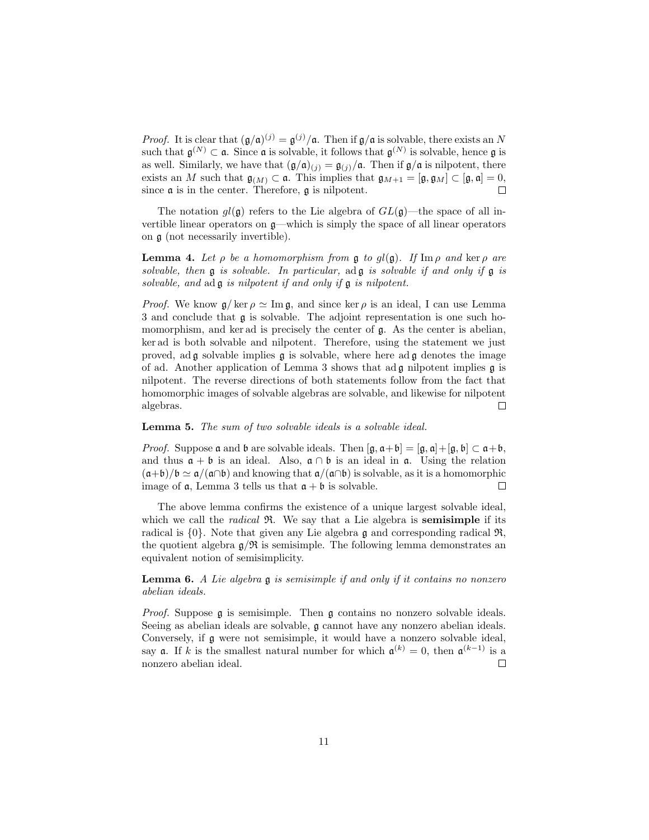*Proof.* It is clear that  $(\mathfrak{g}/\mathfrak{a})^{(j)} = \mathfrak{g}^{(j)}/\mathfrak{a}$ . Then if  $\mathfrak{g}/\mathfrak{a}$  is solvable, there exists an N such that  $\mathfrak{g}^{(N)} \subset \mathfrak{a}$ . Since  $\mathfrak{a}$  is solvable, it follows that  $\mathfrak{g}^{(N)}$  is solvable, hence  $\mathfrak{g}$  is as well. Similarly, we have that  $(\mathfrak{g}/\mathfrak{a})_{(j)} = \mathfrak{g}_{(j)}/\mathfrak{a}$ . Then if  $\mathfrak{g}/\mathfrak{a}$  is nilpotent, there exists an M such that  $\mathfrak{g}_{(M)} \subset \mathfrak{a}$ . This implies that  $\mathfrak{g}_{M+1} = [\mathfrak{g}, \mathfrak{g}_M] \subset [\mathfrak{g}, \mathfrak{a}] = 0$ , since  $\mathfrak a$  is in the center. Therefore,  $\mathfrak g$  is nilpotent.  $\Box$ 

The notation  $q(\mathfrak{g})$  refers to the Lie algebra of  $GL(\mathfrak{g})$ —the space of all invertible linear operators on g—which is simply the space of all linear operators on g (not necessarily invertible).

**Lemma 4.** Let  $\rho$  be a homomorphism from g to  $gl(\mathfrak{g})$ . If Im  $\rho$  and ker  $\rho$  are solvable, then  $\frak g$  is solvable. In particular, ad  $\frak g$  is solvable if and only if  $\frak g$  is solvable, and  $ad\mathfrak{g}$  is nilpotent if and only if  $\mathfrak{g}$  is nilpotent.

*Proof.* We know  $\mathfrak{g}/\ker \rho \simeq \operatorname{Im} \mathfrak{g}$ , and since ker  $\rho$  is an ideal, I can use Lemma 3 and conclude that g is solvable. The adjoint representation is one such homomorphism, and ker ad is precisely the center of  $\mathfrak{g}$ . As the center is abelian, ker ad is both solvable and nilpotent. Therefore, using the statement we just proved, ad  $\mathfrak g$  solvable implies  $\mathfrak g$  is solvable, where here ad  $\mathfrak g$  denotes the image of ad. Another application of Lemma 3 shows that ad g nilpotent implies g is nilpotent. The reverse directions of both statements follow from the fact that homomorphic images of solvable algebras are solvable, and likewise for nilpotent algebras.  $\Box$ 

#### Lemma 5. The sum of two solvable ideals is a solvable ideal.

*Proof.* Suppose  $\mathfrak a$  and  $\mathfrak b$  are solvable ideals. Then  $[\mathfrak g, \mathfrak a+\mathfrak b]=[\mathfrak g, \mathfrak a]+[\mathfrak g, \mathfrak b]\subset \mathfrak a+\mathfrak b,$ and thus  $a + b$  is an ideal. Also,  $a \cap b$  is an ideal in  $a$ . Using the relation  $(a+b)/b \simeq a/(a \cap b)$  and knowing that  $a/(a \cap b)$  is solvable, as it is a homomorphic image of  $\mathfrak a$ , Lemma 3 tells us that  $\mathfrak a + \mathfrak b$  is solvable.  $\Box$ 

The above lemma confirms the existence of a unique largest solvable ideal, which we call the *radical*  $\Re$ . We say that a Lie algebra is **semisimple** if its radical is  $\{0\}$ . Note that given any Lie algebra g and corresponding radical  $\mathfrak{R}$ , the quotient algebra  $g/\mathfrak{R}$  is semisimple. The following lemma demonstrates an equivalent notion of semisimplicity.

**Lemma 6.** A Lie algebra  $\mathfrak{g}$  is semisimple if and only if it contains no nonzero abelian ideals.

Proof. Suppose g is semisimple. Then g contains no nonzero solvable ideals. Seeing as abelian ideals are solvable,  $\mathfrak g$  cannot have any nonzero abelian ideals. Conversely, if g were not semisimple, it would have a nonzero solvable ideal, say **a**. If k is the smallest natural number for which  $\mathfrak{a}^{(k)} = 0$ , then  $\mathfrak{a}^{(k-1)}$  is a nonzero abelian ideal.  $\Box$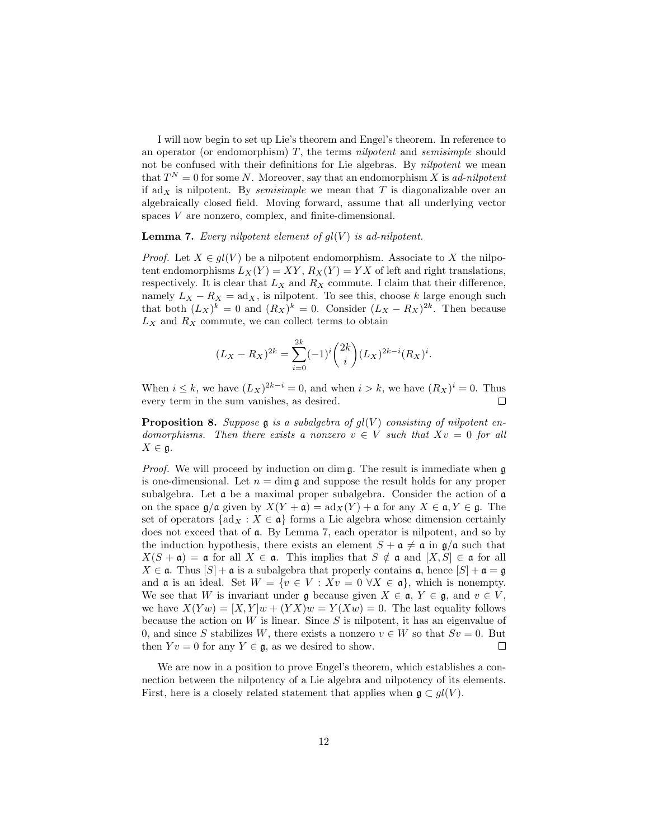I will now begin to set up Lie's theorem and Engel's theorem. In reference to an operator (or endomorphism)  $T$ , the terms *nilpotent* and *semisimple* should not be confused with their definitions for Lie algebras. By *nilpotent* we mean that  $T^N = 0$  for some N. Moreover, say that an endomorphism X is ad-nilpotent if  $\text{ad}_X$  is nilpotent. By *semisimple* we mean that T is diagonalizable over an algebraically closed field. Moving forward, assume that all underlying vector spaces V are nonzero, complex, and finite-dimensional.

**Lemma 7.** Every nilpotent element of  $gl(V)$  is ad-nilpotent.

*Proof.* Let  $X \in gl(V)$  be a nilpotent endomorphism. Associate to X the nilpotent endomorphisms  $L_X(Y) = XY$ ,  $R_X(Y) = YX$  of left and right translations, respectively. It is clear that  $L_X$  and  $R_X$  commute. I claim that their difference, namely  $L_X - R_X = ad_X$ , is nilpotent. To see this, choose k large enough such that both  $(L_X)^k = 0$  and  $(R_X)^k = 0$ . Consider  $(L_X - R_X)^{2k}$ . Then because  $L_X$  and  $R_X$  commute, we can collect terms to obtain

$$
(L_X - R_X)^{2k} = \sum_{i=0}^{2k} (-1)^i {2k \choose i} (L_X)^{2k-i} (R_X)^i.
$$

When  $i \leq k$ , we have  $(L_X)^{2k-i} = 0$ , and when  $i > k$ , we have  $(R_X)^i = 0$ . Thus every term in the sum vanishes, as desired.  $\Box$ 

**Proposition 8.** Suppose  $\mathfrak g$  is a subalgebra of  $q_l(V)$  consisting of nilpotent endomorphisms. Then there exists a nonzero  $v \in V$  such that  $Xv = 0$  for all  $X \in \mathfrak{g}.$ 

*Proof.* We will proceed by induction on dim  $\mathfrak{g}$ . The result is immediate when  $\mathfrak{g}$ is one-dimensional. Let  $n = \dim \mathfrak{g}$  and suppose the result holds for any proper subalgebra. Let  $\alpha$  be a maximal proper subalgebra. Consider the action of  $\alpha$ on the space  $\mathfrak{g}/\mathfrak{a}$  given by  $X(Y + \mathfrak{a}) = ad_X(Y) + \mathfrak{a}$  for any  $X \in \mathfrak{a}, Y \in \mathfrak{g}$ . The set of operators  $\{ad_X : X \in \mathfrak{a}\}\)$  forms a Lie algebra whose dimension certainly does not exceed that of a. By Lemma 7, each operator is nilpotent, and so by the induction hypothesis, there exists an element  $S + \mathfrak{a} \neq \mathfrak{a}$  in  $\mathfrak{g}/\mathfrak{a}$  such that  $X(S + \mathfrak{a}) = \mathfrak{a}$  for all  $X \in \mathfrak{a}$ . This implies that  $S \notin \mathfrak{a}$  and  $[X, S] \in \mathfrak{a}$  for all  $X \in \mathfrak{a}$ . Thus  $[S] + \mathfrak{a}$  is a subalgebra that properly contains  $\mathfrak{a}$ , hence  $[S] + \mathfrak{a} = \mathfrak{g}$ and  $\mathfrak a$  is an ideal. Set  $W = \{v \in V : Xv = 0 \ \forall X \in \mathfrak a\}$ , which is nonempty. We see that W is invariant under  $\mathfrak g$  because given  $X \in \mathfrak a$ ,  $Y \in \mathfrak g$ , and  $v \in V$ , we have  $X(Yw) = [X, Y]w + (YX)w = Y(Xw) = 0$ . The last equality follows because the action on  $W$  is linear. Since  $S$  is nilpotent, it has an eigenvalue of 0, and since S stabilizes W, there exists a nonzero  $v \in W$  so that  $Sv = 0$ . But then  $Yv = 0$  for any  $Y \in \mathfrak{g}$ , as we desired to show.  $\Box$ 

We are now in a position to prove Engel's theorem, which establishes a connection between the nilpotency of a Lie algebra and nilpotency of its elements. First, here is a closely related statement that applies when  $\mathfrak{g} \subset gl(V)$ .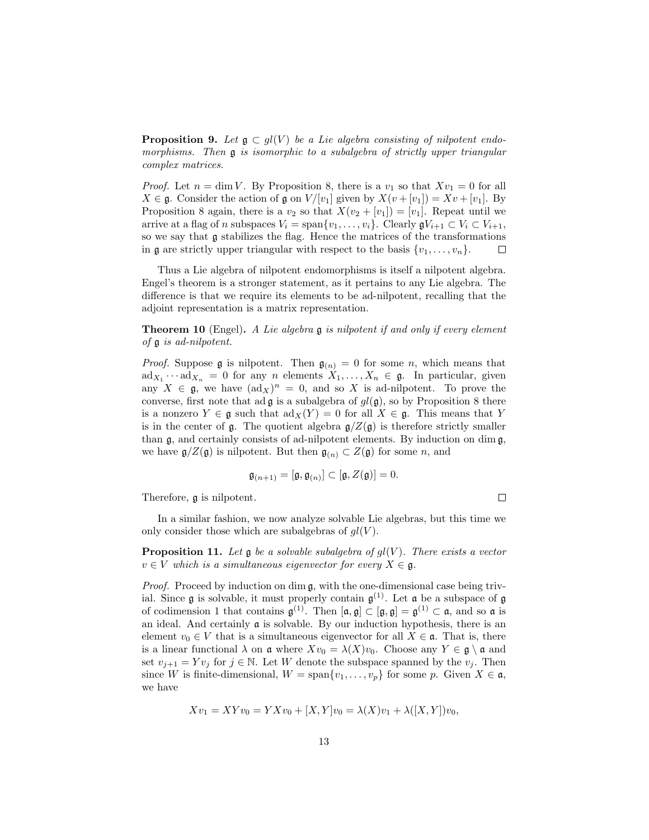**Proposition 9.** Let  $\mathfrak{g} \subset gl(V)$  be a Lie algebra consisting of nilpotent endomorphisms. Then **g** is isomorphic to a subalgebra of strictly upper triangular complex matrices.

*Proof.* Let  $n = \dim V$ . By Proposition 8, there is a  $v_1$  so that  $Xv_1 = 0$  for all  $X \in \mathfrak{g}$ . Consider the action of  $\mathfrak{g}$  on  $V/[v_1]$  given by  $X(v+[v_1]) = Xv+[v_1]$ . By Proposition 8 again, there is a  $v_2$  so that  $X(v_2 + [v_1]) = [v_1]$ . Repeat until we arrive at a flag of n subspaces  $V_i = \text{span}\{v_1, \ldots, v_i\}$ . Clearly  $\mathfrak{g} V_{i+1} \subset V_i \subset V_{i+1}$ , so we say that g stabilizes the flag. Hence the matrices of the transformations in  $\mathfrak g$  are strictly upper triangular with respect to the basis  $\{v_1, \ldots, v_n\}$ .  $\Box$ 

Thus a Lie algebra of nilpotent endomorphisms is itself a nilpotent algebra. Engel's theorem is a stronger statement, as it pertains to any Lie algebra. The difference is that we require its elements to be ad-nilpotent, recalling that the adjoint representation is a matrix representation.

**Theorem 10** (Engel). A Lie algebra  $\mathfrak g$  is nilpotent if and only if every element of g is ad-nilpotent.

*Proof.* Suppose  $\mathfrak g$  is nilpotent. Then  $\mathfrak g_{(n)} = 0$  for some n, which means that  $\mathrm{ad}_{X_1} \cdots \mathrm{ad}_{X_n} = 0$  for any n elements  $X_1, \ldots, X_n \in \mathfrak{g}$ . In particular, given any  $X \in \mathfrak{g}$ , we have  $(\text{ad}_X)^n = 0$ , and so X is ad-nilpotent. To prove the converse, first note that ad  $\mathfrak g$  is a subalgebra of  $gl(\mathfrak g)$ , so by Proposition 8 there is a nonzero  $Y \in \mathfrak{g}$  such that  $\text{ad}_X(Y) = 0$  for all  $X \in \mathfrak{g}$ . This means that Y is in the center of g. The quotient algebra  $g/Z(g)$  is therefore strictly smaller than  $\mathfrak{g}$ , and certainly consists of ad-nilpotent elements. By induction on dim  $\mathfrak{g}$ , we have  $\mathfrak{g}/Z(\mathfrak{g})$  is nilpotent. But then  $\mathfrak{g}_{(n)} \subset Z(\mathfrak{g})$  for some n, and

$$
\mathfrak{g}_{(n+1)} = [\mathfrak{g}, \mathfrak{g}_{(n)}] \subset [\mathfrak{g}, Z(\mathfrak{g})] = 0.
$$

 $\Box$ 

Therefore, g is nilpotent.

In a similar fashion, we now analyze solvable Lie algebras, but this time we only consider those which are subalgebras of  $gl(V)$ .

**Proposition 11.** Let  $\mathfrak{g}$  be a solvable subalgebra of  $gl(V)$ . There exists a vector  $v \in V$  which is a simultaneous eigenvector for every  $X \in \mathfrak{g}$ .

Proof. Proceed by induction on dim  $\mathfrak{g}$ , with the one-dimensional case being trivial. Since  $\mathfrak g$  is solvable, it must properly contain  $\mathfrak g^{(1)}$ . Let  $\mathfrak a$  be a subspace of  $\mathfrak g$ of codimension 1 that contains  $\mathfrak{g}^{(1)}$ . Then  $[\mathfrak{a},\mathfrak{g}] \subset [\mathfrak{g},\mathfrak{g}] = \mathfrak{g}^{(1)} \subset \mathfrak{a}$ , and so  $\mathfrak{a}$  is an ideal. And certainly a is solvable. By our induction hypothesis, there is an element  $v_0 \in V$  that is a simultaneous eigenvector for all  $X \in \mathfrak{a}$ . That is, there is a linear functional  $\lambda$  on  $\mathfrak a$  where  $Xv_0 = \lambda(X)v_0$ . Choose any  $Y \in \mathfrak g \setminus \mathfrak a$  and set  $v_{i+1} = Yv_i$  for  $j \in \mathbb{N}$ . Let W denote the subspace spanned by the  $v_i$ . Then since W is finite-dimensional,  $W = \text{span}\{v_1, \ldots, v_p\}$  for some p. Given  $X \in \mathfrak{a}$ , we have

$$
Xv_1 = XYv_0 = YXv_0 + [X, Y]v_0 = \lambda(X)v_1 + \lambda([X, Y])v_0,
$$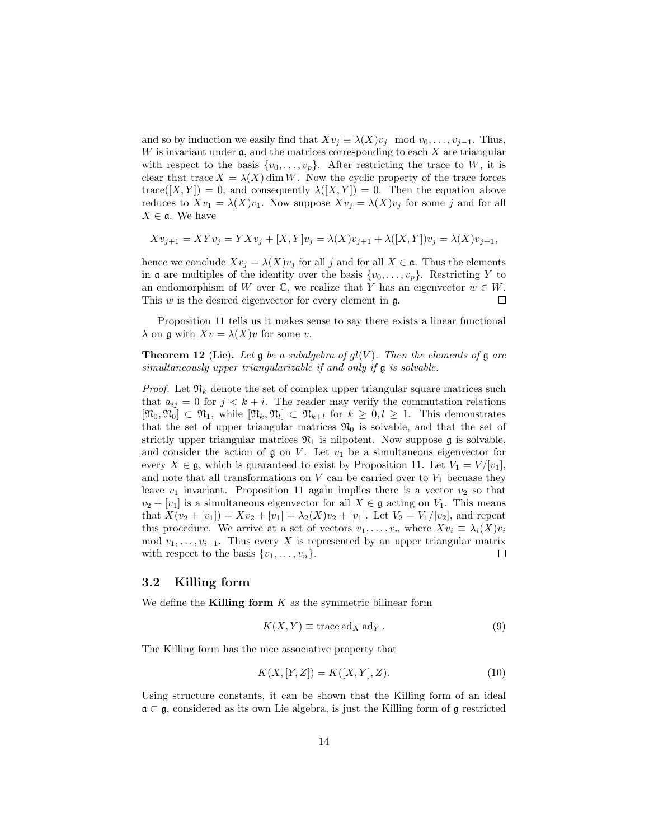and so by induction we easily find that  $Xv_j \equiv \lambda(X)v_j \mod v_0, \ldots, v_{j-1}$ . Thus,  $W$  is invariant under  $\mathfrak{a}$ , and the matrices corresponding to each  $X$  are triangular with respect to the basis  $\{v_0, \ldots, v_p\}$ . After restricting the trace to W, it is clear that trace  $X = \lambda(X)$  dim W. Now the cyclic property of the trace forces  $trace([X,Y]) = 0$ , and consequently  $\lambda([X,Y]) = 0$ . Then the equation above reduces to  $Xv_1 = \lambda(X)v_1$ . Now suppose  $Xv_j = \lambda(X)v_j$  for some j and for all  $X \in \mathfrak{a}$ . We have

$$
Xv_{j+1} = XYv_j = YXv_j + [X,Y]v_j = \lambda(X)v_{j+1} + \lambda([X,Y])v_j = \lambda(X)v_{j+1},
$$

hence we conclude  $Xv_j = \lambda(X)v_j$  for all j and for all  $X \in \mathfrak{a}$ . Thus the elements in **a** are multiples of the identity over the basis  $\{v_0, \ldots, v_p\}$ . Restricting Y to an endomorphism of W over  $\mathbb{C}$ , we realize that Y has an eigenvector  $w \in W$ . This  $w$  is the desired eigenvector for every element in  $\mathfrak{g}$ .  $\Box$ 

Proposition 11 tells us it makes sense to say there exists a linear functional  $\lambda$  on  $\mathfrak g$  with  $Xv = \lambda(X)v$  for some v.

**Theorem 12** (Lie). Let  $\mathfrak g$  be a subalgebra of  $gl(V)$ . Then the elements of  $\mathfrak g$  are simultaneously upper triangularizable if and only if g is solvable.

*Proof.* Let  $\mathfrak{N}_k$  denote the set of complex upper triangular square matrices such that  $a_{ij} = 0$  for  $j < k + i$ . The reader may verify the commutation relations  $[\mathfrak{N}_0, \mathfrak{N}_0] \subset \mathfrak{N}_1$ , while  $[\mathfrak{N}_k, \mathfrak{N}_l] \subset \mathfrak{N}_{k+l}$  for  $k \geq 0, l \geq 1$ . This demonstrates that the set of upper triangular matrices  $\mathfrak{N}_0$  is solvable, and that the set of strictly upper triangular matrices  $\mathfrak{N}_1$  is nilpotent. Now suppose g is solvable, and consider the action of  $\mathfrak g$  on V. Let  $v_1$  be a simultaneous eigenvector for every  $X \in \mathfrak{g}$ , which is guaranteed to exist by Proposition 11. Let  $V_1 = V/[v_1]$ , and note that all transformations on  $V$  can be carried over to  $V_1$  becuase they leave  $v_1$  invariant. Proposition 11 again implies there is a vector  $v_2$  so that  $v_2 + [v_1]$  is a simultaneous eigenvector for all  $X \in \mathfrak{g}$  acting on  $V_1$ . This means that  $X(v_2 + [v_1]) = Xv_2 + [v_1] = \lambda_2(X)v_2 + [v_1]$ . Let  $V_2 = V_1/[v_2]$ , and repeat this procedure. We arrive at a set of vectors  $v_1, \ldots, v_n$  where  $Xv_i \equiv \lambda_i(X)v_i$ mod  $v_1, \ldots, v_{i-1}$ . Thus every X is represented by an upper triangular matrix with respect to the basis  $\{v_1, \ldots, v_n\}.$  $\Box$ 

#### 3.2 Killing form

We define the **Killing form**  $K$  as the symmetric bilinear form

$$
K(X,Y) \equiv \text{trace } \text{ad}_X \text{ } \text{ad}_Y. \tag{9}
$$

The Killing form has the nice associative property that

$$
K(X, [Y, Z]) = K([X, Y], Z). \tag{10}
$$

Using structure constants, it can be shown that the Killing form of an ideal  $\mathfrak{a} \subset \mathfrak{g}$ , considered as its own Lie algebra, is just the Killing form of  $\mathfrak{g}$  restricted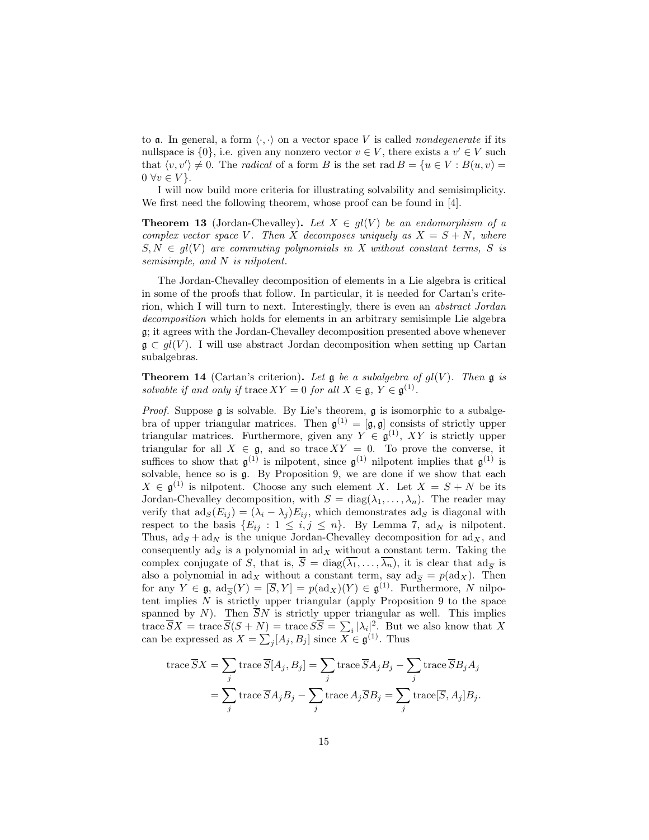to **a**. In general, a form  $\langle \cdot, \cdot \rangle$  on a vector space V is called *nondegenerate* if its nullspace is  $\{0\}$ , i.e. given any nonzero vector  $v \in V$ , there exists a  $v' \in V$  such that  $\langle v, v' \rangle \neq 0$ . The *radical* of a form B is the set rad  $B = \{u \in V : B(u, v) =$  $0 \forall v \in V$ .

I will now build more criteria for illustrating solvability and semisimplicity. We first need the following theorem, whose proof can be found in [4].

**Theorem 13** (Jordan-Chevalley). Let  $X \in gl(V)$  be an endomorphism of a complex vector space V. Then X decomposes uniquely as  $X = S + N$ , where  $S, N \in gl(V)$  are commuting polynomials in X without constant terms, S is semisimple, and N is nilpotent.

The Jordan-Chevalley decomposition of elements in a Lie algebra is critical in some of the proofs that follow. In particular, it is needed for Cartan's criterion, which I will turn to next. Interestingly, there is even an abstract Jordan decomposition which holds for elements in an arbitrary semisimple Lie algebra g; it agrees with the Jordan-Chevalley decomposition presented above whenever  $\mathfrak{g} \subset gl(V)$ . I will use abstract Jordan decomposition when setting up Cartan subalgebras.

**Theorem 14** (Cartan's criterion). Let  $\mathfrak g$  be a subalgebra of  $gl(V)$ . Then  $\mathfrak g$  is solvable if and only if trace  $XY = 0$  for all  $X \in \mathfrak{g}, Y \in \mathfrak{g}^{(1)}$ .

*Proof.* Suppose  $\mathfrak g$  is solvable. By Lie's theorem,  $\mathfrak g$  is isomorphic to a subalgebra of upper triangular matrices. Then  $\mathfrak{g}^{(1)} = [\mathfrak{g}, \mathfrak{g}]$  consists of strictly upper triangular matrices. Furthermore, given any  $Y \in \mathfrak{g}^{(1)}$ , XY is strictly upper triangular for all  $X \in \mathfrak{g}$ , and so trace  $XY = 0$ . To prove the converse, it suffices to show that  $\mathfrak{g}^{(1)}$  is nilpotent, since  $\mathfrak{g}^{(1)}$  nilpotent implies that  $\mathfrak{g}^{(1)}$  is solvable, hence so is g. By Proposition 9, we are done if we show that each  $X \in \mathfrak{g}^{(1)}$  is nilpotent. Choose any such element X. Let  $X = S + N$  be its Jordan-Chevalley decomposition, with  $S = diag(\lambda_1, ..., \lambda_n)$ . The reader may verify that  $\text{ad}_S(E_{ij}) = (\lambda_i - \lambda_j)E_{ij}$ , which demonstrates  $\text{ad}_S$  is diagonal with respect to the basis  $\{E_{ij} : 1 \le i, j \le n\}$ . By Lemma 7, ad<sub>N</sub> is nilpotent. Thus,  $ad_S + ad_N$  is the unique Jordan-Chevalley decomposition for  $ad_X$ , and consequently  $ad_S$  is a polynomial in  $ad_X$  without a constant term. Taking the complex conjugate of S, that is,  $\overline{S} = \text{diag}(\lambda_1, \dots, \lambda_n)$ , it is clear that  $\text{ad}_{\overline{S}}$  is also a polynomial in  $\text{ad}_X$  without a constant term, say  $\text{ad}_{\overline{S}} = p(\text{ad}_X)$ . Then for any  $Y \in \mathfrak{g}$ ,  $ad_{\overline{S}}(Y) = [\overline{S}, Y] = p(ad_X)(Y) \in \mathfrak{g}^{(1)}$ . Furthermore, N nilpotent implies  $N$  is strictly upper triangular (apply Proposition 9 to the space spanned by N). Then  $\overline{S}N$  is strictly upper triangular as well. This implies trace  $\overline{S}X = \text{trace }\overline{S}(S+N) = \text{trace } S\overline{S} = \sum_i |\lambda_i|^2$ . But we also know that X can be expressed as  $X = \sum_j [A_j, B_j]$  since  $X \in \mathfrak{g}^{(1)}$ . Thus

trace 
$$
\overline{S}X = \sum_{j}
$$
trace  $\overline{S}[A_j, B_j] = \sum_{j}$ trace  $\overline{S}A_jB_j - \sum_{j}$ trace  $\overline{S}B_jA_j$   
=  $\sum_{j}$ trace  $\overline{S}A_jB_j - \sum_{j}$ trace  $A_j\overline{S}B_j = \sum_{j}$ trace $[\overline{S}, A_j]B_j$ .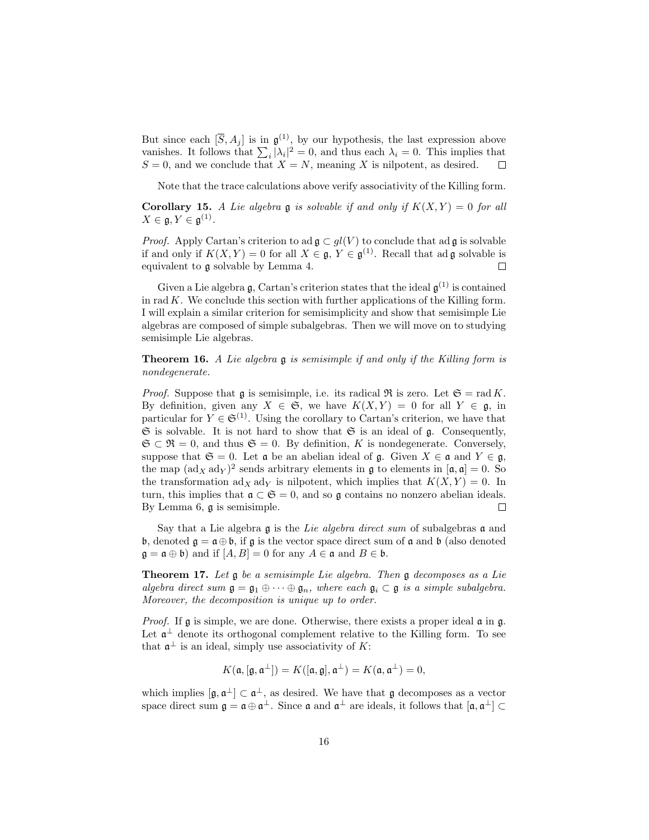But since each  $[\overline{S}, A_j]$  is in  $\mathfrak{g}^{(1)}$ , by our hypothesis, the last expression above vanishes. It follows that  $\sum_i |\lambda_i|^2 = 0$ , and thus each  $\lambda_i = 0$ . This implies that  $S = 0$ , and we conclude that  $X = N$ , meaning X is nilpotent, as desired.  $\Box$ 

Note that the trace calculations above verify associativity of the Killing form.

**Corollary 15.** A Lie algebra  $\mathfrak g$  is solvable if and only if  $K(X, Y) = 0$  for all  $X\in \mathfrak{g}, Y\in \mathfrak{g}^{(1)}.$ 

*Proof.* Apply Cartan's criterion to ad  $\mathfrak{g} \subset gl(V)$  to conclude that ad  $\mathfrak{g}$  is solvable if and only if  $K(X,Y) = 0$  for all  $X \in \mathfrak{g}, Y \in \mathfrak{g}^{(1)}$ . Recall that ad  $\mathfrak{g}$  solvable is equivalent to g solvable by Lemma 4.  $\Box$ 

Given a Lie algebra  $\mathfrak{g}$ , Cartan's criterion states that the ideal  $\mathfrak{g}^{(1)}$  is contained in rad  $K$ . We conclude this section with further applications of the Killing form. I will explain a similar criterion for semisimplicity and show that semisimple Lie algebras are composed of simple subalgebras. Then we will move on to studying semisimple Lie algebras.

**Theorem 16.** A Lie algebra  $\mathfrak g$  is semisimple if and only if the Killing form is nondegenerate.

*Proof.* Suppose that **q** is semisimple, i.e. its radical  $\Re$  is zero. Let  $\mathfrak{S} = \text{rad } K$ . By definition, given any  $X \in \mathfrak{S}$ , we have  $K(X, Y) = 0$  for all  $Y \in \mathfrak{g}$ , in particular for  $Y \in \mathfrak{S}^{(1)}$ . Using the corollary to Cartan's criterion, we have that  $\mathfrak S$  is solvable. It is not hard to show that  $\mathfrak S$  is an ideal of  $\mathfrak g$ . Consequently,  $\mathfrak{S} \subset \mathfrak{R} = 0$ , and thus  $\mathfrak{S} = 0$ . By definition, K is nondegenerate. Conversely, suppose that  $\mathfrak{S} = 0$ . Let  $\mathfrak{a}$  be an abelian ideal of  $\mathfrak{g}$ . Given  $X \in \mathfrak{a}$  and  $Y \in \mathfrak{g}$ , the map  $(\text{ad}_X \text{ ad}_Y)^2$  sends arbitrary elements in  $\mathfrak g$  to elements in  $[\mathfrak a, \mathfrak a] = 0$ . So the transformation  $\mathrm{ad}_X \mathrm{ad}_Y$  is nilpotent, which implies that  $K(X, Y) = 0$ . In turn, this implies that  $\mathfrak{a} \subset \mathfrak{S} = 0$ , and so  $\mathfrak{g}$  contains no nonzero abelian ideals. By Lemma 6, g is semisimple.  $\Box$ 

Say that a Lie algebra  $\mathfrak g$  is the Lie algebra direct sum of subalgebras  $\mathfrak a$  and b, denoted  $\mathfrak{g} = \mathfrak{a} \oplus \mathfrak{b}$ , if  $\mathfrak{g}$  is the vector space direct sum of  $\mathfrak{a}$  and  $\mathfrak{b}$  (also denoted  $\mathfrak{g} = \mathfrak{a} \oplus \mathfrak{b}$  and if  $[A, B] = 0$  for any  $A \in \mathfrak{a}$  and  $B \in \mathfrak{b}$ .

**Theorem 17.** Let  $\mathfrak g$  be a semisimple Lie algebra. Then  $\mathfrak g$  decomposes as a Lie algebra direct sum  $\mathfrak{g} = \mathfrak{g}_1 \oplus \cdots \oplus \mathfrak{g}_n$ , where each  $\mathfrak{g}_i \subset \mathfrak{g}$  is a simple subalgebra. Moreover, the decomposition is unique up to order.

*Proof.* If  $\mathfrak g$  is simple, we are done. Otherwise, there exists a proper ideal  $\mathfrak a$  in  $\mathfrak g$ . Let  $\mathfrak{a}^{\perp}$  denote its orthogonal complement relative to the Killing form. To see that  $\mathfrak{a}^{\perp}$  is an ideal, simply use associativity of K:

$$
K(\mathfrak{a},[\mathfrak{g},\mathfrak{a}^\perp])=K([\mathfrak{a},\mathfrak{g}],\mathfrak{a}^\perp)=K(\mathfrak{a},\mathfrak{a}^\perp)=0,
$$

which implies  $[\mathfrak{g}, \mathfrak{a}^{\perp}] \subset \mathfrak{a}^{\perp}$ , as desired. We have that  $\mathfrak{g}$  decomposes as a vector space direct sum  $\mathfrak{g} = \mathfrak{a} \oplus \mathfrak{a}^{\perp}$ . Since  $\mathfrak{a}$  and  $\mathfrak{a}^{\perp}$  are ideals, it follows that  $[\mathfrak{a}, \mathfrak{a}^{\perp}] \subset$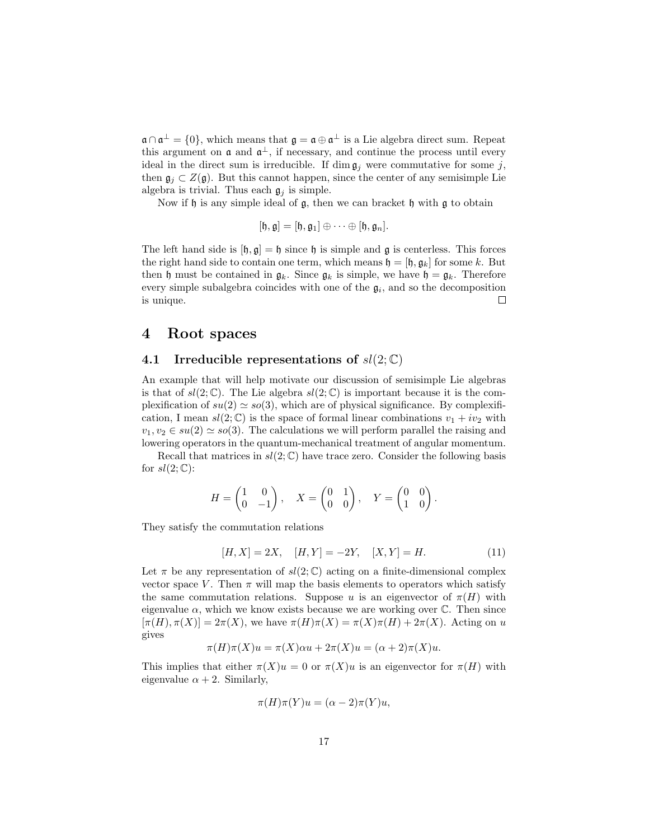$\mathfrak{a} \cap \mathfrak{a}^{\perp} = \{0\}$ , which means that  $\mathfrak{g} = \mathfrak{a} \oplus \mathfrak{a}^{\perp}$  is a Lie algebra direct sum. Repeat this argument on  $\mathfrak a$  and  $\mathfrak a^{\perp}$ , if necessary, and continue the process until every ideal in the direct sum is irreducible. If dim  $\mathfrak{g}_i$  were commutative for some j, then  $\mathfrak{g}_i \subset Z(\mathfrak{g})$ . But this cannot happen, since the center of any semisimple Lie algebra is trivial. Thus each  $\mathfrak{g}_i$  is simple.

Now if  $\mathfrak h$  is any simple ideal of  $\mathfrak g$ , then we can bracket  $\mathfrak h$  with  $\mathfrak g$  to obtain

$$
[\mathfrak{h},\mathfrak{g}]=[\mathfrak{h},\mathfrak{g}_1]\oplus\cdots\oplus[\mathfrak{h},\mathfrak{g}_n].
$$

The left hand side is  $[\mathfrak{h}, \mathfrak{g}] = \mathfrak{h}$  since  $\mathfrak{h}$  is simple and  $\mathfrak{g}$  is centerless. This forces the right hand side to contain one term, which means  $\mathfrak{h} = [\mathfrak{h}, \mathfrak{g}_k]$  for some k. But then h must be contained in  $\mathfrak{g}_k$ . Since  $\mathfrak{g}_k$  is simple, we have  $\mathfrak{h} = \mathfrak{g}_k$ . Therefore every simple subalgebra coincides with one of the  $\mathfrak{g}_i$ , and so the decomposition is unique.  $\Box$ 

#### 4 Root spaces

#### 4.1 Irreducible representations of  $sl(2;\mathbb{C})$

An example that will help motivate our discussion of semisimple Lie algebras is that of  $sl(2;\mathbb{C})$ . The Lie algebra  $sl(2;\mathbb{C})$  is important because it is the complexification of  $su(2) \simeq so(3)$ , which are of physical significance. By complexification, I mean  $sl(2;\mathbb{C})$  is the space of formal linear combinations  $v_1 + iv_2$  with  $v_1, v_2 \in su(2) \simeq so(3)$ . The calculations we will perform parallel the raising and lowering operators in the quantum-mechanical treatment of angular momentum.

Recall that matrices in  $sl(2;\mathbb{C})$  have trace zero. Consider the following basis for  $sl(2;\mathbb{C})$ :

$$
H = \begin{pmatrix} 1 & 0 \\ 0 & -1 \end{pmatrix}, \quad X = \begin{pmatrix} 0 & 1 \\ 0 & 0 \end{pmatrix}, \quad Y = \begin{pmatrix} 0 & 0 \\ 1 & 0 \end{pmatrix}.
$$

They satisfy the commutation relations

$$
[H, X] = 2X, \quad [H, Y] = -2Y, \quad [X, Y] = H.
$$
\n<sup>(11)</sup>

Let  $\pi$  be any representation of  $sl(2;\mathbb{C})$  acting on a finite-dimensional complex vector space V. Then  $\pi$  will map the basis elements to operators which satisfy the same commutation relations. Suppose u is an eigenvector of  $\pi(H)$  with eigenvalue  $\alpha$ , which we know exists because we are working over  $\mathbb{C}$ . Then since  $[\pi(H), \pi(X)] = 2\pi(X)$ , we have  $\pi(H)\pi(X) = \pi(X)\pi(H) + 2\pi(X)$ . Acting on u gives

$$
\pi(H)\pi(X)u = \pi(X)\alpha u + 2\pi(X)u = (\alpha + 2)\pi(X)u.
$$

This implies that either  $\pi(X)u = 0$  or  $\pi(X)u$  is an eigenvector for  $\pi(H)$  with eigenvalue  $\alpha + 2$ . Similarly,

$$
\pi(H)\pi(Y)u = (\alpha - 2)\pi(Y)u,
$$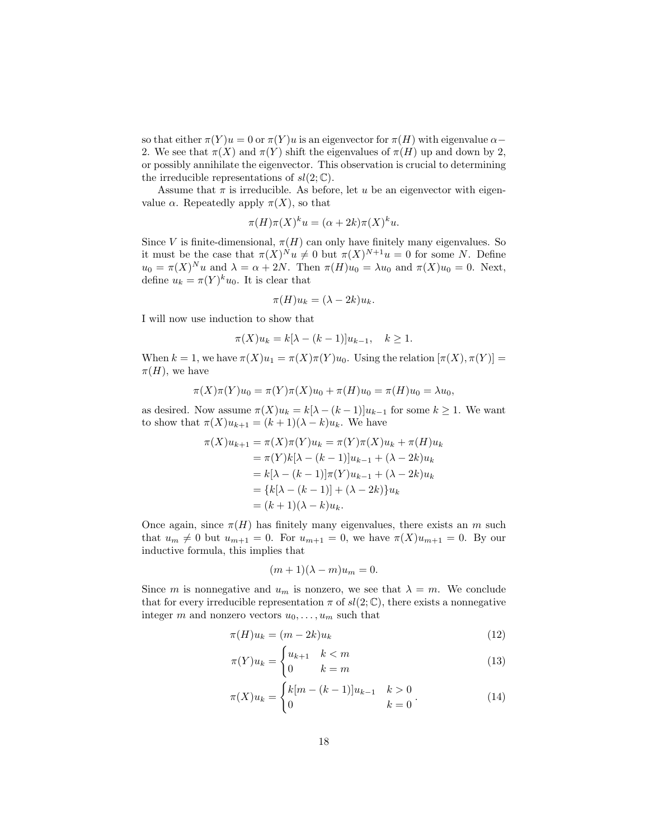so that either  $\pi(Y)u = 0$  or  $\pi(Y)u$  is an eigenvector for  $\pi(H)$  with eigenvalue  $\alpha$ 2. We see that  $\pi(X)$  and  $\pi(Y)$  shift the eigenvalues of  $\pi(H)$  up and down by 2, or possibly annihilate the eigenvector. This observation is crucial to determining the irreducible representations of  $sl(2;\mathbb{C})$ .

Assume that  $\pi$  is irreducible. As before, let u be an eigenvector with eigenvalue  $\alpha$ . Repeatedly apply  $\pi(X)$ , so that

$$
\pi(H)\pi(X)^{k}u = (\alpha + 2k)\pi(X)^{k}u.
$$

Since V is finite-dimensional,  $\pi(H)$  can only have finitely many eigenvalues. So it must be the case that  $\pi(X)^N u \neq 0$  but  $\pi(X)^{N+1} u = 0$  for some N. Define  $u_0 = \pi(X)^N u$  and  $\lambda = \alpha + 2N$ . Then  $\pi(H)u_0 = \lambda u_0$  and  $\pi(X)u_0 = 0$ . Next, define  $u_k = \pi(Y)^k u_0$ . It is clear that

$$
\pi(H)u_k = (\lambda - 2k)u_k.
$$

I will now use induction to show that

$$
\pi(X)u_k = k[\lambda - (k-1)]u_{k-1}, \quad k \ge 1.
$$

When  $k = 1$ , we have  $\pi(X)u_1 = \pi(X)\pi(Y)u_0$ . Using the relation  $[\pi(X), \pi(Y)] =$  $\pi(H)$ , we have

$$
\pi(X)\pi(Y)u_0 = \pi(Y)\pi(X)u_0 + \pi(H)u_0 = \pi(H)u_0 = \lambda u_0,
$$

as desired. Now assume  $\pi(X)u_k = k[\lambda - (k-1)]u_{k-1}$  for some  $k \ge 1$ . We want to show that  $\pi(X)u_{k+1} = (k+1)(\lambda - k)u_k$ . We have

$$
\pi(X)u_{k+1} = \pi(X)\pi(Y)u_k = \pi(Y)\pi(X)u_k + \pi(H)u_k
$$
  
=  $\pi(Y)k[\lambda - (k-1)]u_{k-1} + (\lambda - 2k)u_k$   
=  $k[\lambda - (k-1)]\pi(Y)u_{k-1} + (\lambda - 2k)u_k$   
=  $\{k[\lambda - (k-1)] + (\lambda - 2k)\}u_k$   
=  $(k+1)(\lambda - k)u_k$ .

Once again, since  $\pi(H)$  has finitely many eigenvalues, there exists an m such that  $u_m \neq 0$  but  $u_{m+1} = 0$ . For  $u_{m+1} = 0$ , we have  $\pi(X)u_{m+1} = 0$ . By our inductive formula, this implies that

$$
(m+1)(\lambda - m)u_m = 0.
$$

Since m is nonnegative and  $u_m$  is nonzero, we see that  $\lambda = m$ . We conclude that for every irreducible representation  $\pi$  of  $sl(2;\mathbb{C})$ , there exists a nonnegative integer m and nonzero vectors  $u_0, \ldots, u_m$  such that

$$
\pi(H)u_k = (m - 2k)u_k \tag{12}
$$

$$
\pi(Y)u_k = \begin{cases} u_{k+1} & k < m \\ 0 & k = m \end{cases} \tag{13}
$$

$$
\pi(X)u_k = \begin{cases} k[m - (k-1)]u_{k-1} & k > 0 \\ 0 & k = 0 \end{cases} \tag{14}
$$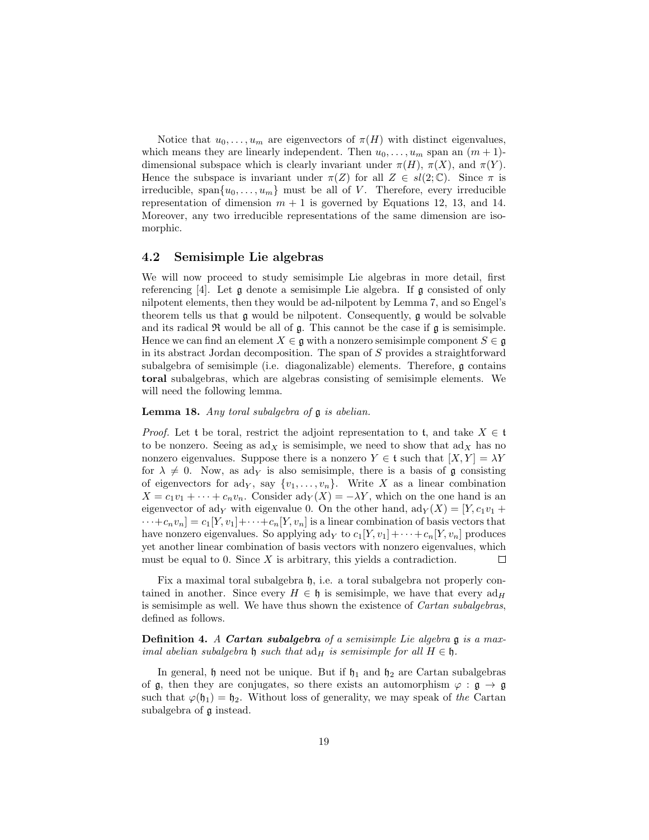Notice that  $u_0, \ldots, u_m$  are eigenvectors of  $\pi(H)$  with distinct eigenvalues, which means they are linearly independent. Then  $u_0, \ldots, u_m$  span an  $(m+1)$ dimensional subspace which is clearly invariant under  $\pi(H)$ ,  $\pi(X)$ , and  $\pi(Y)$ . Hence the subspace is invariant under  $\pi(Z)$  for all  $Z \in sl(2;\mathbb{C})$ . Since  $\pi$  is irreducible, span $\{u_0, \ldots, u_m\}$  must be all of V. Therefore, every irreducible representation of dimension  $m + 1$  is governed by Equations 12, 13, and 14. Moreover, any two irreducible representations of the same dimension are isomorphic.

#### 4.2 Semisimple Lie algebras

We will now proceed to study semisimple Lie algebras in more detail, first referencing [4]. Let g denote a semisimple Lie algebra. If g consisted of only nilpotent elements, then they would be ad-nilpotent by Lemma 7, and so Engel's theorem tells us that g would be nilpotent. Consequently, g would be solvable and its radical  $\Re$  would be all of  $\mathfrak{g}$ . This cannot be the case if  $\mathfrak{g}$  is semisimple. Hence we can find an element  $X \in \mathfrak{g}$  with a nonzero semisimple component  $S \in \mathfrak{g}$ in its abstract Jordan decomposition. The span of S provides a straightforward subalgebra of semisimple (i.e. diagonalizable) elements. Therefore, g contains toral subalgebras, which are algebras consisting of semisimple elements. We will need the following lemma.

Lemma 18. Any toral subalgebra of  $\mathfrak g$  is abelian.

*Proof.* Let t be toral, restrict the adjoint representation to t, and take  $X \in \mathfrak{t}$ to be nonzero. Seeing as  $\text{ad}_X$  is semisimple, we need to show that  $\text{ad}_X$  has no nonzero eigenvalues. Suppose there is a nonzero  $Y \in \mathfrak{t}$  such that  $[X, Y] = \lambda Y$ for  $\lambda \neq 0$ . Now, as ad<sub>Y</sub> is also semisimple, there is a basis of g consisting of eigenvectors for ad<sub>Y</sub>, say  $\{v_1, \ldots, v_n\}$ . Write X as a linear combination  $X = c_1v_1 + \cdots + c_nv_n$ . Consider  $\text{ad}_Y(X) = -\lambda Y$ , which on the one hand is an eigenvector of ady with eigenvalue 0. On the other hand,  $\mathrm{ad}_Y(X) = [Y, c_1v_1 +$  $\cdots + c_n v_n] = c_1[Y, v_1] + \cdots + c_n[Y, v_n]$  is a linear combination of basis vectors that have nonzero eigenvalues. So applying  $\text{ad}_Y$  to  $c_1[Y, v_1]+\cdots+c_n[Y, v_n]$  produces yet another linear combination of basis vectors with nonzero eigenvalues, which must be equal to 0. Since  $X$  is arbitrary, this yields a contradiction.  $\Box$ 

Fix a maximal toral subalgebra  $\mathfrak{h}$ , i.e. a toral subalgebra not properly contained in another. Since every  $H \in \mathfrak{h}$  is semisimple, we have that every  $ad_H$ is semisimple as well. We have thus shown the existence of Cartan subalgebras, defined as follows.

**Definition 4.** A Cartan subalgebra of a semisimple Lie algebra g is a maximal abelian subalgebra  $\mathfrak h$  such that  $ad_H$  is semisimple for all  $H \in \mathfrak h$ .

In general,  $\mathfrak h$  need not be unique. But if  $\mathfrak h_1$  and  $\mathfrak h_2$  are Cartan subalgebras of  $\mathfrak{g}$ , then they are conjugates, so there exists an automorphism  $\varphi : \mathfrak{g} \to \mathfrak{g}$ such that  $\varphi(\mathfrak{h}_1) = \mathfrak{h}_2$ . Without loss of generality, we may speak of the Cartan subalgebra of g instead.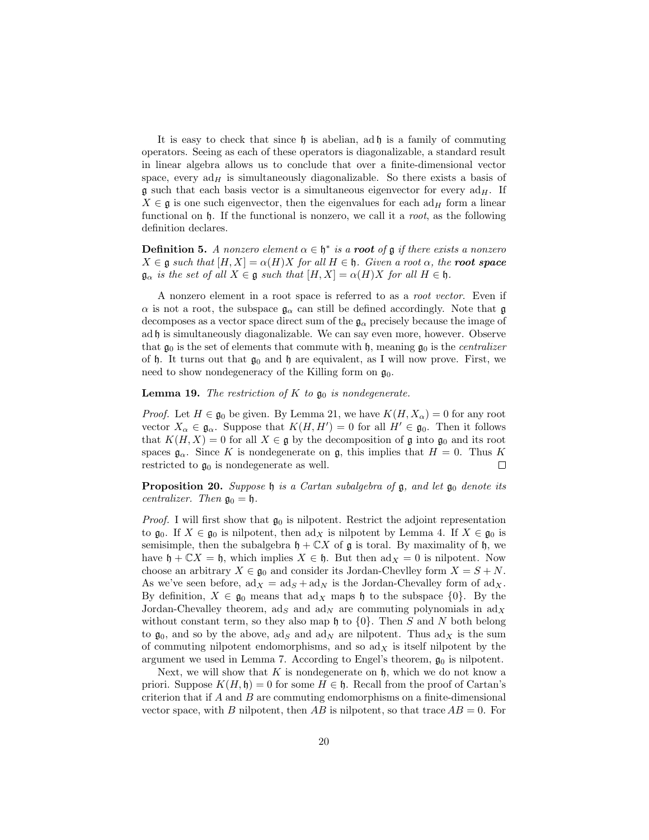It is easy to check that since  $\mathfrak h$  is abelian, ad  $\mathfrak h$  is a family of commuting operators. Seeing as each of these operators is diagonalizable, a standard result in linear algebra allows us to conclude that over a finite-dimensional vector space, every  $ad_H$  is simultaneously diagonalizable. So there exists a basis of **g** such that each basis vector is a simultaneous eigenvector for every  $ad_H$ . If  $X \in \mathfrak{g}$  is one such eigenvector, then the eigenvalues for each ad<sub>H</sub> form a linear functional on  $\mathfrak h$ . If the functional is nonzero, we call it a *root*, as the following definition declares.

**Definition 5.** A nonzero element  $\alpha \in \mathfrak{h}^*$  is a **root** of **g** if there exists a nonzero  $X \in \mathfrak{g}$  such that  $[H, X] = \alpha(H)X$  for all  $H \in \mathfrak{h}$ . Given a root  $\alpha$ , the **root space**  $\mathfrak{g}_{\alpha}$  is the set of all  $X \in \mathfrak{g}$  such that  $[H, X] = \alpha(H)X$  for all  $H \in \mathfrak{h}$ .

A nonzero element in a root space is referred to as a root vector. Even if  $\alpha$  is not a root, the subspace  $\mathfrak{g}_{\alpha}$  can still be defined accordingly. Note that  $\mathfrak{g}$ decomposes as a vector space direct sum of the  $\mathfrak{g}_{\alpha}$  precisely because the image of ad h is simultaneously diagonalizable. We can say even more, however. Observe that  $\mathfrak{g}_0$  is the set of elements that commute with  $\mathfrak{h}$ , meaning  $\mathfrak{g}_0$  is the *centralizer* of h. It turns out that  $\mathfrak{g}_0$  and h are equivalent, as I will now prove. First, we need to show nondegeneracy of the Killing form on  $\mathfrak{g}_0$ .

#### **Lemma 19.** The restriction of K to  $\mathfrak{g}_0$  is nondegenerate.

*Proof.* Let  $H \in \mathfrak{g}_0$  be given. By Lemma 21, we have  $K(H, X_\alpha) = 0$  for any root vector  $X_{\alpha} \in \mathfrak{g}_{\alpha}$ . Suppose that  $K(H, H') = 0$  for all  $H' \in \mathfrak{g}_0$ . Then it follows that  $K(H, X) = 0$  for all  $X \in \mathfrak{g}$  by the decomposition of  $\mathfrak{g}$  into  $\mathfrak{g}_0$  and its root spaces  $\mathfrak{g}_{\alpha}$ . Since K is nondegenerate on g, this implies that  $H = 0$ . Thus K restricted to  $\mathfrak{g}_0$  is nondegenerate as well.  $\Box$ 

**Proposition 20.** Suppose  $\mathfrak{h}$  is a Cartan subalgebra of  $\mathfrak{g}$ , and let  $\mathfrak{g}_0$  denote its centralizer. Then  $\mathfrak{g}_0 = \mathfrak{h}$ .

*Proof.* I will first show that  $\mathfrak{g}_0$  is nilpotent. Restrict the adjoint representation to  $\mathfrak{g}_0$ . If  $X \in \mathfrak{g}_0$  is nilpotent, then  $\text{ad}_X$  is nilpotent by Lemma 4. If  $X \in \mathfrak{g}_0$  is semisimple, then the subalgebra  $\mathfrak{h} + \mathbb{C}X$  of  $\mathfrak{g}$  is toral. By maximality of  $\mathfrak{h}$ , we have  $\mathfrak{h} + \mathbb{C}X = \mathfrak{h}$ , which implies  $X \in \mathfrak{h}$ . But then  $\text{ad}_X = 0$  is nilpotent. Now choose an arbitrary  $X \in \mathfrak{g}_0$  and consider its Jordan-Chevlley form  $X = S + N$ . As we've seen before,  $ad_X = ad_S + ad_N$  is the Jordan-Chevalley form of  $ad_X$ . By definition,  $X \in \mathfrak{g}_0$  means that  $\text{ad}_X$  maps h to the subspace  $\{0\}$ . By the Jordan-Chevalley theorem, ad<sub>S</sub> and ad<sub>N</sub> are commuting polynomials in  $\text{ad}_X$ without constant term, so they also map  $\mathfrak h$  to  $\{0\}$ . Then S and N both belong to  $\mathfrak{g}_0$ , and so by the above,  $\text{ad}_S$  and  $\text{ad}_N$  are nilpotent. Thus  $\text{ad}_X$  is the sum of commuting nilpotent endomorphisms, and so  $\mathrm{ad}_X$  is itself nilpotent by the argument we used in Lemma 7. According to Engel's theorem,  $\mathfrak{g}_0$  is nilpotent.

Next, we will show that  $K$  is nondegenerate on  $\mathfrak h$ , which we do not know a priori. Suppose  $K(H, \mathfrak{h}) = 0$  for some  $H \in \mathfrak{h}$ . Recall from the proof of Cartan's criterion that if  $A$  and  $B$  are commuting endomorphisms on a finite-dimensional vector space, with B nilpotent, then AB is nilpotent, so that trace  $AB = 0$ . For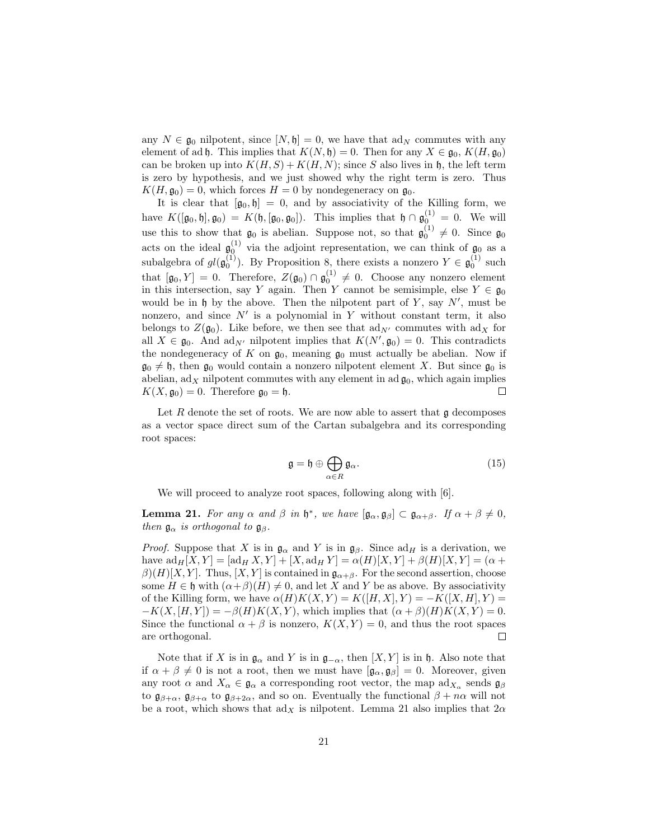any  $N \in \mathfrak{g}_0$  nilpotent, since  $[N, \mathfrak{h}] = 0$ , we have that ad<sub>N</sub> commutes with any element of ad h. This implies that  $K(N, \mathfrak{h}) = 0$ . Then for any  $X \in \mathfrak{g}_0, K(H, \mathfrak{g}_0)$ can be broken up into  $K(H, S) + K(H, N)$ ; since S also lives in h, the left term is zero by hypothesis, and we just showed why the right term is zero. Thus  $K(H, \mathfrak{g}_0) = 0$ , which forces  $H = 0$  by nondegeneracy on  $\mathfrak{g}_0$ .

It is clear that  $[\mathfrak{g}_0, \mathfrak{h}] = 0$ , and by associativity of the Killing form, we have  $K([\mathfrak{g}_0, \mathfrak{h}], \mathfrak{g}_0) = K(\mathfrak{h}, [\mathfrak{g}_0, \mathfrak{g}_0]).$  This implies that  $\mathfrak{h} \cap \mathfrak{g}_0^{(1)} = 0$ . We will use this to show that  $\mathfrak{g}_0$  is abelian. Suppose not, so that  $\mathfrak{g}_0^{(1)} \neq 0$ . Since  $\mathfrak{g}_0$ acts on the ideal  $\mathfrak{g}_0^{(1)}$  via the adjoint representation, we can think of  $\mathfrak{g}_0$  as a subalgebra of  $gl(\mathfrak{g}_0^{(1)})$ . By Proposition 8, there exists a nonzero  $Y \in \mathfrak{g}_0^{(1)}$  such that  $[\mathfrak{g}_0, Y] = 0$ . Therefore,  $Z(\mathfrak{g}_0) \cap \mathfrak{g}_0^{(1)} \neq 0$ . Choose any nonzero element in this intersection, say Y again. Then Y cannot be semisimple, else  $Y \in \mathfrak{g}_0$ would be in  $\mathfrak h$  by the above. Then the nilpotent part of Y, say  $N'$ , must be nonzero, and since  $N'$  is a polynomial in Y without constant term, it also belongs to  $Z(\mathfrak{g}_0)$ . Like before, we then see that  $\text{ad}_{N'}$  commutes with  $\text{ad}_X$  for all  $X \in \mathfrak{g}_0$ . And ad<sub>N'</sub> nilpotent implies that  $K(N', \mathfrak{g}_0) = 0$ . This contradicts the nondegeneracy of K on  $\mathfrak{g}_0$ , meaning  $\mathfrak{g}_0$  must actually be abelian. Now if  $\mathfrak{g}_0 \neq \mathfrak{h}$ , then  $\mathfrak{g}_0$  would contain a nonzero nilpotent element X. But since  $\mathfrak{g}_0$  is abelian,  $ad_X$  nilpotent commutes with any element in  $ad\mathfrak{g}_0$ , which again implies  $K(X, \mathfrak{g}_0) = 0$ . Therefore  $\mathfrak{g}_0 = \mathfrak{h}$ .  $\Box$ 

Let  $R$  denote the set of roots. We are now able to assert that  $\mathfrak g$  decomposes as a vector space direct sum of the Cartan subalgebra and its corresponding root spaces:

$$
\mathfrak{g} = \mathfrak{h} \oplus \bigoplus_{\alpha \in R} \mathfrak{g}_{\alpha}.\tag{15}
$$

We will proceed to analyze root spaces, following along with [6].

**Lemma 21.** For any  $\alpha$  and  $\beta$  in  $\mathfrak{h}^*$ , we have  $[\mathfrak{g}_{\alpha}, \mathfrak{g}_{\beta}] \subset \mathfrak{g}_{\alpha+\beta}$ . If  $\alpha + \beta \neq 0$ , then  $\mathfrak{g}_{\alpha}$  is orthogonal to  $\mathfrak{g}_{\beta}$ .

*Proof.* Suppose that X is in  $\mathfrak{g}_{\alpha}$  and Y is in  $\mathfrak{g}_{\beta}$ . Since ad<sub>H</sub> is a derivation, we have  $ad_H[X, Y] = [ad_H X, Y] + [X, ad_H Y] = \alpha(H)[X, Y] + \beta(H)[X, Y] = (\alpha +$  $\beta(E)[X, Y]$ . Thus,  $[X, Y]$  is contained in  $\mathfrak{g}_{\alpha+\beta}$ . For the second assertion, choose some  $H \in \mathfrak{h}$  with  $(\alpha + \beta)(H) \neq 0$ , and let X and Y be as above. By associativity of the Killing form, we have  $\alpha(H)K(X,Y) = K(|H,X|,Y) = -K(|X,H|,Y) =$  $-K(X,[H,Y]) = -\beta(H)K(X,Y)$ , which implies that  $(\alpha + \beta)(H)K(X,Y) = 0$ . Since the functional  $\alpha + \beta$  is nonzero,  $K(X, Y) = 0$ , and thus the root spaces are orthogonal.  $\Box$ 

Note that if X is in  $\mathfrak{g}_{\alpha}$  and Y is in  $\mathfrak{g}_{-\alpha}$ , then  $[X, Y]$  is in h. Also note that if  $\alpha + \beta \neq 0$  is not a root, then we must have  $[\mathfrak{g}_{\alpha}, \mathfrak{g}_{\beta}] = 0$ . Moreover, given any root  $\alpha$  and  $X_{\alpha} \in \mathfrak{g}_{\alpha}$  a corresponding root vector, the map  $\text{ad}_{X_{\alpha}}$  sends  $\mathfrak{g}_{\beta}$ to  $\mathfrak{g}_{\beta+\alpha}$ ,  $\mathfrak{g}_{\beta+\alpha}$  to  $\mathfrak{g}_{\beta+2\alpha}$ , and so on. Eventually the functional  $\beta+n\alpha$  will not be a root, which shows that  $\text{ad}_X$  is nilpotent. Lemma 21 also implies that  $2\alpha$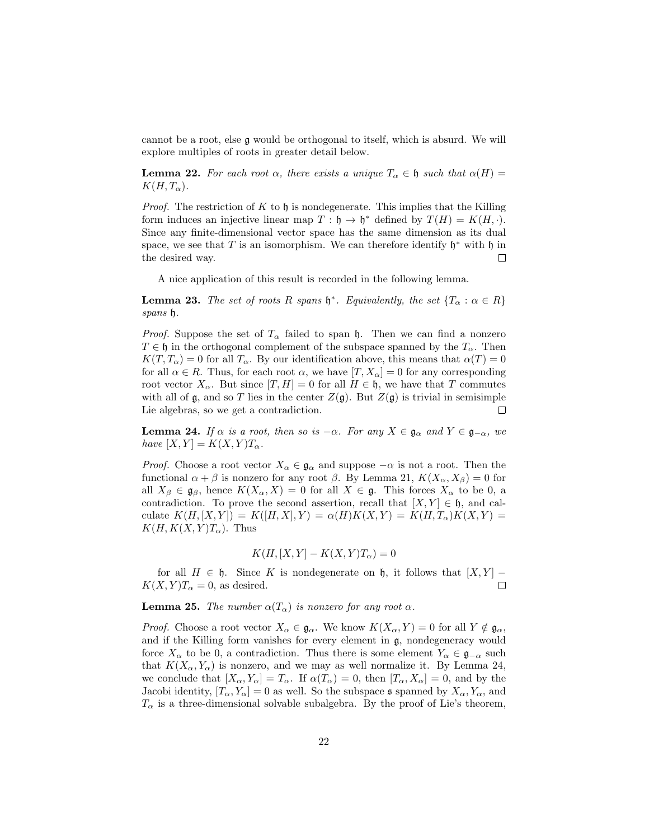cannot be a root, else g would be orthogonal to itself, which is absurd. We will explore multiples of roots in greater detail below.

**Lemma 22.** For each root  $\alpha$ , there exists a unique  $T_{\alpha} \in \mathfrak{h}$  such that  $\alpha(H) =$  $K(H, T_{\alpha}).$ 

*Proof.* The restriction of K to h is nondegenerate. This implies that the Killing form induces an injective linear map  $T : \mathfrak{h} \to \mathfrak{h}^*$  defined by  $T(H) = K(H, \cdot)$ . Since any finite-dimensional vector space has the same dimension as its dual space, we see that T is an isomorphism. We can therefore identify  $\mathfrak{h}^*$  with  $\mathfrak{h}$  in the desired way.  $\Box$ 

A nice application of this result is recorded in the following lemma.

**Lemma 23.** The set of roots R spans  $\mathfrak{h}^*$ . Equivalently, the set  $\{T_\alpha : \alpha \in R\}$ spans h.

*Proof.* Suppose the set of  $T_{\alpha}$  failed to span h. Then we can find a nonzero  $T \in \mathfrak{h}$  in the orthogonal complement of the subspace spanned by the  $T_{\alpha}$ . Then  $K(T, T_\alpha) = 0$  for all  $T_\alpha$ . By our identification above, this means that  $\alpha(T) = 0$ for all  $\alpha \in R$ . Thus, for each root  $\alpha$ , we have  $[T, X_{\alpha}] = 0$  for any corresponding root vector  $X_{\alpha}$ . But since  $[T, H] = 0$  for all  $H \in \mathfrak{h}$ , we have that T commutes with all of g, and so T lies in the center  $Z(g)$ . But  $Z(g)$  is trivial in semisimple Lie algebras, so we get a contradiction.  $\Box$ 

**Lemma 24.** If  $\alpha$  is a root, then so is  $-\alpha$ . For any  $X \in \mathfrak{g}_{\alpha}$  and  $Y \in \mathfrak{g}_{-\alpha}$ , we have  $[X, Y] = K(X, Y)T_{\alpha}$ .

*Proof.* Choose a root vector  $X_{\alpha} \in \mathfrak{g}_{\alpha}$  and suppose  $-\alpha$  is not a root. Then the functional  $\alpha + \beta$  is nonzero for any root  $\beta$ . By Lemma 21,  $K(X_{\alpha}, X_{\beta}) = 0$  for all  $X_{\beta} \in \mathfrak{g}_{\beta}$ , hence  $K(X_{\alpha}, X) = 0$  for all  $X \in \mathfrak{g}$ . This forces  $X_{\alpha}$  to be 0, a contradiction. To prove the second assertion, recall that  $[X, Y] \in \mathfrak{h}$ , and calculate  $K(H, [X, Y]) = K([H, X], Y) = \alpha(H)K(X, Y) = K(H, T_{\alpha})K(X, Y) =$  $K(H, K(X, Y)T_\alpha)$ . Thus

$$
K(H, [X, Y] - K(X, Y)T_{\alpha}) = 0
$$

for all  $H \in \mathfrak{h}$ . Since K is nondegenerate on  $\mathfrak{h}$ , it follows that  $[X, Y]$  –  $K(X, Y)T_\alpha = 0$ , as desired.  $\Box$ 

**Lemma 25.** The number  $\alpha(T_\alpha)$  is nonzero for any root  $\alpha$ .

*Proof.* Choose a root vector  $X_{\alpha} \in \mathfrak{g}_{\alpha}$ . We know  $K(X_{\alpha}, Y) = 0$  for all  $Y \notin \mathfrak{g}_{\alpha}$ , and if the Killing form vanishes for every element in g, nondegeneracy would force  $X_\alpha$  to be 0, a contradiction. Thus there is some element  $Y_\alpha \in \mathfrak{g}_{-\alpha}$  such that  $K(X_\alpha, Y_\alpha)$  is nonzero, and we may as well normalize it. By Lemma 24, we conclude that  $[X_{\alpha}, Y_{\alpha}] = T_{\alpha}$ . If  $\alpha(T_{\alpha}) = 0$ , then  $[T_{\alpha}, X_{\alpha}] = 0$ , and by the Jacobi identity,  $[T_{\alpha}, Y_{\alpha}] = 0$  as well. So the subspace s spanned by  $X_{\alpha}, Y_{\alpha}$ , and  $T_{\alpha}$  is a three-dimensional solvable subalgebra. By the proof of Lie's theorem,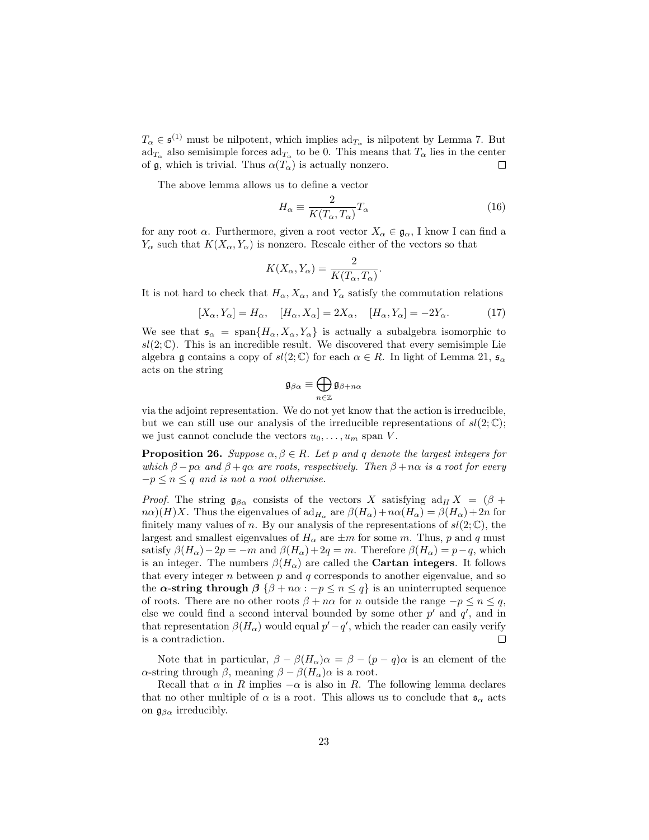$T_{\alpha} \in \mathfrak{s}^{(1)}$  must be nilpotent, which implies  $\text{ad}_{T_{\alpha}}$  is nilpotent by Lemma 7. But  $ad_{T_{\alpha}}$  also semisimple forces  $ad_{T_{\alpha}}$  to be 0. This means that  $T_{\alpha}$  lies in the center of  $\mathfrak g$ , which is trivial. Thus  $\alpha(T_\alpha)$  is actually nonzero.  $\Box$ 

The above lemma allows us to define a vector

$$
H_{\alpha} \equiv \frac{2}{K(T_{\alpha}, T_{\alpha})} T_{\alpha} \tag{16}
$$

for any root  $\alpha$ . Furthermore, given a root vector  $X_{\alpha} \in \mathfrak{g}_{\alpha}$ , I know I can find a  $Y_{\alpha}$  such that  $K(X_{\alpha}, Y_{\alpha})$  is nonzero. Rescale either of the vectors so that

$$
K(X_{\alpha}, Y_{\alpha}) = \frac{2}{K(T_{\alpha}, T_{\alpha})}.
$$

It is not hard to check that  $H_{\alpha}$ ,  $X_{\alpha}$ , and  $Y_{\alpha}$  satisfy the commutation relations

$$
[X_{\alpha}, Y_{\alpha}] = H_{\alpha}, \quad [H_{\alpha}, X_{\alpha}] = 2X_{\alpha}, \quad [H_{\alpha}, Y_{\alpha}] = -2Y_{\alpha}.
$$
 (17)

We see that  $\mathfrak{s}_{\alpha} = \text{span}\{H_{\alpha}, X_{\alpha}, Y_{\alpha}\}\$ is actually a subalgebra isomorphic to  $sl(2;\mathbb{C})$ . This is an incredible result. We discovered that every semisimple Lie algebra g contains a copy of  $sl(2;\mathbb{C})$  for each  $\alpha \in R$ . In light of Lemma 21,  $\mathfrak{s}_{\alpha}$ acts on the string

$$
\mathfrak{g}_{\beta\alpha}\equiv\bigoplus_{n\in\mathbb{Z}}\mathfrak{g}_{\beta+n\alpha}
$$

via the adjoint representation. We do not yet know that the action is irreducible, but we can still use our analysis of the irreducible representations of  $sl(2;\mathbb{C});$ we just cannot conclude the vectors  $u_0, \ldots, u_m$  span V.

**Proposition 26.** Suppose  $\alpha, \beta \in R$ . Let p and q denote the largest integers for which  $\beta - p\alpha$  and  $\beta + q\alpha$  are roots, respectively. Then  $\beta + n\alpha$  is a root for every  $-p \leq n \leq q$  and is not a root otherwise.

*Proof.* The string  $\mathfrak{g}_{\beta\alpha}$  consists of the vectors X satisfying  $\mathrm{ad}_H X = (\beta +$  $n\alpha$ )(H)X. Thus the eigenvalues of  $\mathrm{ad}_{H_{\alpha}}$  are  $\beta(H_{\alpha})+n\alpha(H_{\alpha})=\beta(H_{\alpha})+2n$  for finitely many values of n. By our analysis of the representations of  $sl(2;\mathbb{C})$ , the largest and smallest eigenvalues of  $H_{\alpha}$  are  $\pm m$  for some m. Thus, p and q must satisfy  $\beta(H_{\alpha})-2p = -m$  and  $\beta(H_{\alpha})+2q = m$ . Therefore  $\beta(H_{\alpha})=p-q$ , which is an integer. The numbers  $\beta(H_{\alpha})$  are called the **Cartan integers**. It follows that every integer  $n$  between  $p$  and  $q$  corresponds to another eigenvalue, and so the  $\alpha$ -string through  $\beta \{\beta + n\alpha : -p \leq n \leq q\}$  is an uninterrupted sequence of roots. There are no other roots  $\beta + n\alpha$  for n outside the range  $-p \leq n \leq q$ , else we could find a second interval bounded by some other  $p'$  and  $q'$ , and in that representation  $\beta(H_{\alpha})$  would equal  $p'-q'$ , which the reader can easily verify is a contradiction.  $\Box$ 

Note that in particular,  $\beta - \beta(H_\alpha)\alpha = \beta - (p - q)\alpha$  is an element of the α-string through β, meaning  $β - β(H<sub>α</sub>)α$  is a root.

Recall that  $\alpha$  in R implies  $-\alpha$  is also in R. The following lemma declares that no other multiple of  $\alpha$  is a root. This allows us to conclude that  $\mathfrak{s}_{\alpha}$  acts on  $\mathfrak{g}_{\beta\alpha}$  irreducibly.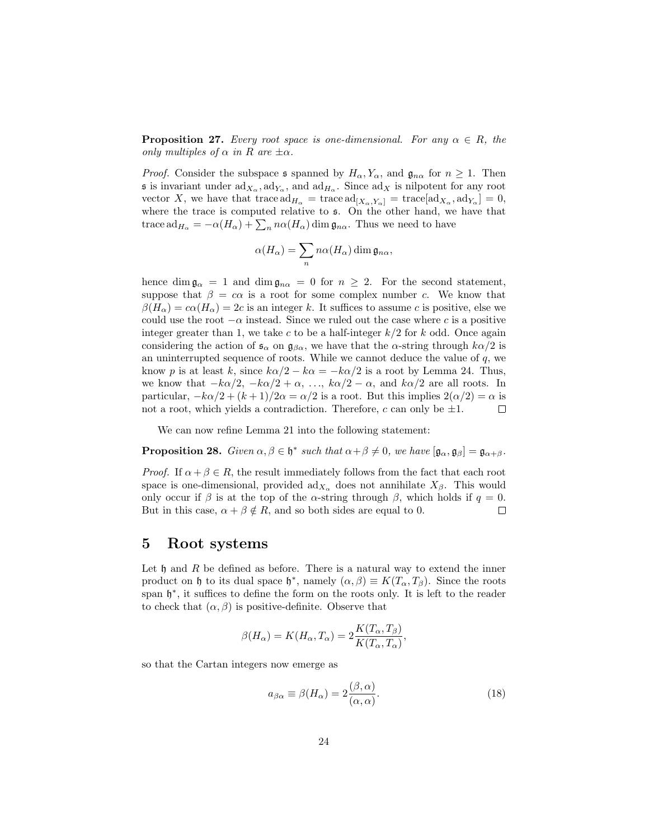**Proposition 27.** Every root space is one-dimensional. For any  $\alpha \in R$ , the only multiples of  $\alpha$  in R are  $\pm \alpha$ .

*Proof.* Consider the subspace s spanned by  $H_{\alpha}$ ,  $Y_{\alpha}$ , and  $\mathfrak{g}_{n\alpha}$  for  $n \geq 1$ . Then **s** is invariant under  $ad_{X_\alpha}$ ,  $ad_{Y_\alpha}$ , and  $ad_{H_\alpha}$ . Since  $ad_X$  is nilpotent for any root vector X, we have that trace  $\mathrm{ad}_{H_{\alpha}} = \mathrm{trace} \, \mathrm{ad}_{[X_{\alpha}, Y_{\alpha}]} = \mathrm{trace}[\mathrm{ad}_{X_{\alpha}}, \mathrm{ad}_{Y_{\alpha}}] = 0,$ where the trace is computed relative to s. On the other hand, we have that trace  $ad_{H_{\alpha}} = -\alpha(H_{\alpha}) + \sum_{n} n\alpha(H_{\alpha}) \dim \mathfrak{g}_{n\alpha}$ . Thus we need to have

$$
\alpha(H_{\alpha}) = \sum_{n} n \alpha(H_{\alpha}) \dim \mathfrak{g}_{n\alpha},
$$

hence dim  $\mathfrak{g}_{\alpha} = 1$  and dim  $\mathfrak{g}_{n\alpha} = 0$  for  $n \geq 2$ . For the second statement, suppose that  $\beta = c\alpha$  is a root for some complex number c. We know that  $\beta(H_{\alpha}) = c\alpha(H_{\alpha}) = 2c$  is an integer k. It suffices to assume c is positive, else we could use the root  $-\alpha$  instead. Since we ruled out the case where c is a positive integer greater than 1, we take c to be a half-integer  $k/2$  for k odd. Once again considering the action of  $\mathfrak{s}_{\alpha}$  on  $\mathfrak{g}_{\beta\alpha}$ , we have that the  $\alpha$ -string through  $k\alpha/2$  is an uninterrupted sequence of roots. While we cannot deduce the value of  $q$ , we know p is at least k, since  $k\alpha/2 - k\alpha = -k\alpha/2$  is a root by Lemma 24. Thus, we know that  $-k\alpha/2$ ,  $-k\alpha/2 + \alpha$ , ...,  $k\alpha/2 - \alpha$ , and  $k\alpha/2$  are all roots. In particular,  $-k\alpha/2 + (k+1)/2\alpha = \alpha/2$  is a root. But this implies  $2(\alpha/2) = \alpha$  is not a root, which yields a contradiction. Therefore, c can only be  $\pm 1$ .  $\Box$ 

We can now refine Lemma 21 into the following statement:

**Proposition 28.** Given  $\alpha, \beta \in \mathfrak{h}^*$  such that  $\alpha + \beta \neq 0$ , we have  $[\mathfrak{g}_{\alpha}, \mathfrak{g}_{\beta}] = \mathfrak{g}_{\alpha + \beta}$ .

*Proof.* If  $\alpha + \beta \in R$ , the result immediately follows from the fact that each root space is one-dimensional, provided  $\text{ad}_{X_\alpha}$  does not annihilate  $X_\beta$ . This would only occur if  $\beta$  is at the top of the  $\alpha$ -string through  $\beta$ , which holds if  $q = 0$ . But in this case,  $\alpha + \beta \notin R$ , and so both sides are equal to 0.  $\Box$ 

## 5 Root systems

Let  $\mathfrak h$  and R be defined as before. There is a natural way to extend the inner product on h to its dual space  $h^*$ , namely  $(\alpha, \beta) \equiv K(T_\alpha, T_\beta)$ . Since the roots span  $\mathfrak{h}^*$ , it suffices to define the form on the roots only. It is left to the reader to check that  $(\alpha, \beta)$  is positive-definite. Observe that

$$
\beta(H_{\alpha}) = K(H_{\alpha}, T_{\alpha}) = 2\frac{K(T_{\alpha}, T_{\beta})}{K(T_{\alpha}, T_{\alpha})},
$$

so that the Cartan integers now emerge as

$$
a_{\beta\alpha} \equiv \beta(H_{\alpha}) = 2\frac{(\beta,\alpha)}{(\alpha,\alpha)}.
$$
\n(18)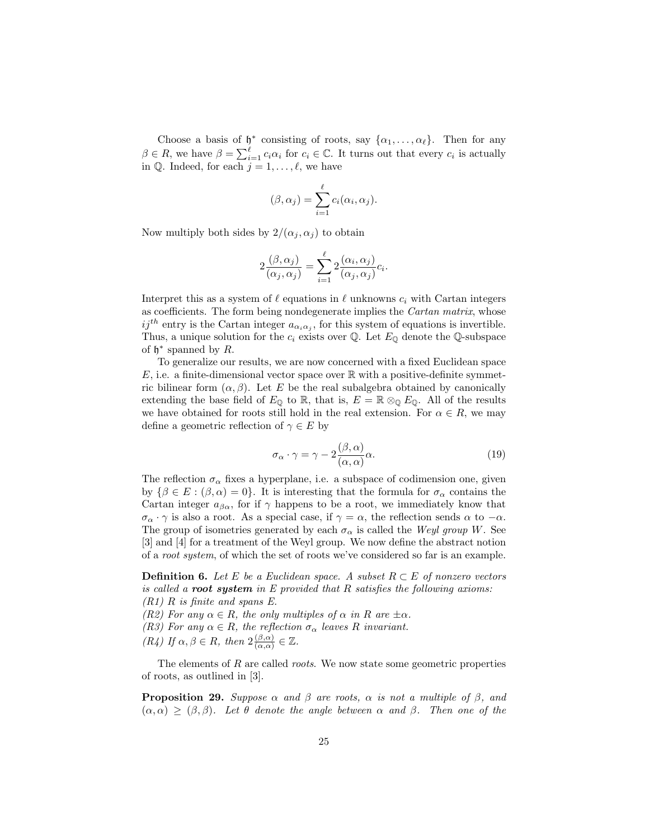Choose a basis of  $\mathfrak{h}^*$  consisting of roots, say  $\{\alpha_1, \ldots, \alpha_\ell\}$ . Then for any  $\beta \in R$ , we have  $\beta = \sum_{i=1}^{\ell} c_i \alpha_i$  for  $c_i \in \mathbb{C}$ . It turns out that every  $c_i$  is actually in Q. Indeed, for each  $j = 1, \ldots, \ell$ , we have

$$
(\beta, \alpha_j) = \sum_{i=1}^{\ell} c_i(\alpha_i, \alpha_j).
$$

Now multiply both sides by  $2/(\alpha_i, \alpha_j)$  to obtain

$$
2\frac{(\beta,\alpha_j)}{(\alpha_j,\alpha_j)} = \sum_{i=1}^{\ell} 2\frac{(\alpha_i,\alpha_j)}{(\alpha_j,\alpha_j)}c_i.
$$

Interpret this as a system of  $\ell$  equations in  $\ell$  unknowns  $c_i$  with Cartan integers as coefficients. The form being nondegenerate implies the Cartan matrix, whose  $ij<sup>th</sup>$  entry is the Cartan integer  $a_{\alpha_i\alpha_j}$ , for this system of equations is invertible. Thus, a unique solution for the  $c_i$  exists over  $\mathbb Q$ . Let  $E_{\mathbb Q}$  denote the  $\mathbb Q$ -subspace of  $\mathfrak{h}^*$  spanned by R.

To generalize our results, we are now concerned with a fixed Euclidean space E, i.e. a finite-dimensional vector space over  $\mathbb R$  with a positive-definite symmetric bilinear form  $(\alpha, \beta)$ . Let E be the real subalgebra obtained by canonically extending the base field of  $E_{\mathbb{Q}}$  to  $\mathbb{R}$ , that is,  $E = \mathbb{R} \otimes_{\mathbb{Q}} E_{\mathbb{Q}}$ . All of the results we have obtained for roots still hold in the real extension. For  $\alpha \in R$ , we may define a geometric reflection of  $\gamma \in E$  by

$$
\sigma_{\alpha} \cdot \gamma = \gamma - 2 \frac{(\beta, \alpha)}{(\alpha, \alpha)} \alpha.
$$
 (19)

The reflection  $\sigma_{\alpha}$  fixes a hyperplane, i.e. a subspace of codimension one, given by  $\{\beta \in E : (\beta, \alpha) = 0\}$ . It is interesting that the formula for  $\sigma_{\alpha}$  contains the Cartan integer  $a_{\beta\alpha}$ , for if  $\gamma$  happens to be a root, we immediately know that  $\sigma_{\alpha} \cdot \gamma$  is also a root. As a special case, if  $\gamma = \alpha$ , the reflection sends  $\alpha$  to  $-\alpha$ . The group of isometries generated by each  $\sigma_{\alpha}$  is called the Weyl group W. See [3] and [4] for a treatment of the Weyl group. We now define the abstract notion of a root system, of which the set of roots we've considered so far is an example.

**Definition 6.** Let E be a Euclidean space. A subset  $R \subset E$  of nonzero vectors is called a root system in  $E$  provided that  $R$  satisfies the following axioms:  $(R1)$  R is finite and spans E.

(R2) For any  $\alpha \in R$ , the only multiples of  $\alpha$  in R are  $\pm \alpha$ .

(R3) For any  $\alpha \in R$ , the reflection  $\sigma_{\alpha}$  leaves R invariant.

 $(R_4)$  If  $\alpha, \beta \in R$ , then  $2\frac{(\beta,\alpha)}{(\alpha,\alpha)}$  $\frac{(\beta,\alpha)}{(\alpha,\alpha)} \in \mathbb{Z}$ .

The elements of  $R$  are called *roots*. We now state some geometric properties of roots, as outlined in [3].

**Proposition 29.** Suppose  $\alpha$  and  $\beta$  are roots,  $\alpha$  is not a multiple of  $\beta$ , and  $(\alpha, \alpha) \geq (\beta, \beta)$ . Let  $\theta$  denote the angle between  $\alpha$  and  $\beta$ . Then one of the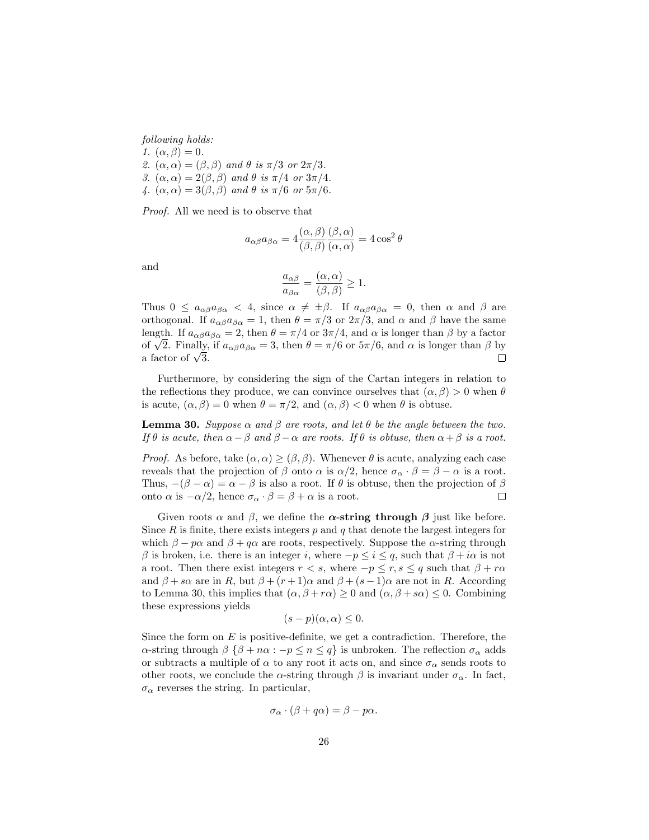following holds:

- 1.  $(\alpha, \beta) = 0$ .
- 2.  $(\alpha, \alpha) = (\beta, \beta)$  and  $\theta$  is  $\pi/3$  or  $2\pi/3$ .
- 3.  $(\alpha, \alpha) = 2(\beta, \beta)$  and  $\theta$  is  $\pi/4$  or  $3\pi/4$ .
- 4.  $(\alpha, \alpha) = 3(\beta, \beta)$  and  $\theta$  is  $\pi/6$  or  $5\pi/6$ .

Proof. All we need is to observe that

$$
a_{\alpha\beta}a_{\beta\alpha} = 4\frac{(\alpha,\beta)}{(\beta,\beta)}\frac{(\beta,\alpha)}{(\alpha,\alpha)} = 4\cos^2\theta
$$

and

$$
\frac{a_{\alpha\beta}}{a_{\beta\alpha}} = \frac{(\alpha, \alpha)}{(\beta, \beta)} \ge 1.
$$

Thus  $0 \le a_{\alpha\beta}a_{\beta\alpha} < 4$ , since  $\alpha \neq \pm \beta$ . If  $a_{\alpha\beta}a_{\beta\alpha} = 0$ , then  $\alpha$  and  $\beta$  are orthogonal. If  $a_{\alpha\beta}a_{\beta\alpha} = 1$ , then  $\theta = \pi/3$  or  $2\pi/3$ , and  $\alpha$  and  $\beta$  have the same length. If  $a_{\alpha\beta}a_{\beta\alpha} = 2$ , then  $\theta = \pi/4$  or  $3\pi/4$ , and  $\alpha$  is longer than  $\beta$  by a factor ength. If  $a_{\alpha\beta}a_{\beta\alpha} = 2$ , then  $\theta = \pi/4$  or  $3\pi/4$ , and  $\alpha$  is longer than  $\beta$  by a factor of  $\sqrt{2}$ . Finally, if  $a_{\alpha\beta}a_{\beta\alpha} = 3$ , then  $\theta = \pi/6$  or  $5\pi/6$ , and  $\alpha$  is longer than  $\beta$  by or  $\sqrt{2}$ . Finally,<br>a factor of  $\sqrt{3}$ .  $\Box$ 

Furthermore, by considering the sign of the Cartan integers in relation to the reflections they produce, we can convince ourselves that  $(\alpha, \beta) > 0$  when  $\theta$ is acute,  $(\alpha, \beta) = 0$  when  $\theta = \pi/2$ , and  $(\alpha, \beta) < 0$  when  $\theta$  is obtuse.

**Lemma 30.** Suppose  $\alpha$  and  $\beta$  are roots, and let  $\theta$  be the angle between the two. If  $\theta$  is acute, then  $\alpha - \beta$  and  $\beta - \alpha$  are roots. If  $\theta$  is obtuse, then  $\alpha + \beta$  is a root.

*Proof.* As before, take  $(\alpha, \alpha) \geq (\beta, \beta)$ . Whenever  $\theta$  is acute, analyzing each case reveals that the projection of  $\beta$  onto  $\alpha$  is  $\alpha/2$ , hence  $\sigma_{\alpha} \cdot \beta = \beta - \alpha$  is a root. Thus,  $-(\beta - \alpha) = \alpha - \beta$  is also a root. If  $\theta$  is obtuse, then the projection of  $\beta$ onto  $\alpha$  is  $-\alpha/2$ , hence  $\sigma_{\alpha} \cdot \beta = \beta + \alpha$  is a root.  $\Box$ 

Given roots  $\alpha$  and  $\beta$ , we define the  $\alpha$ -string through  $\beta$  just like before. Since  $R$  is finite, there exists integers  $p$  and  $q$  that denote the largest integers for which  $\beta - p\alpha$  and  $\beta + q\alpha$  are roots, respectively. Suppose the  $\alpha$ -string through β is broken, i.e. there is an integer i, where  $-p ≤ i ≤ q$ , such that  $β + iα$  is not a root. Then there exist integers  $r < s$ , where  $-p \le r, s \le q$  such that  $\beta + r\alpha$ and  $\beta + s\alpha$  are in R, but  $\beta + (r+1)\alpha$  and  $\beta + (s-1)\alpha$  are not in R. According to Lemma 30, this implies that  $(\alpha, \beta + r\alpha) \geq 0$  and  $(\alpha, \beta + s\alpha) \leq 0$ . Combining these expressions yields

$$
(s-p)(\alpha,\alpha) \leq 0.
$$

Since the form on  $E$  is positive-definite, we get a contradiction. Therefore, the α-string through  $\beta \{\beta + n\alpha : -p \le n \le q\}$  is unbroken. The reflection  $\sigma_\alpha$  adds or subtracts a multiple of  $\alpha$  to any root it acts on, and since  $\sigma_{\alpha}$  sends roots to other roots, we conclude the  $\alpha$ -string through  $\beta$  is invariant under  $\sigma_{\alpha}$ . In fact,  $\sigma_{\alpha}$  reverses the string. In particular,

$$
\sigma_{\alpha} \cdot (\beta + q\alpha) = \beta - p\alpha.
$$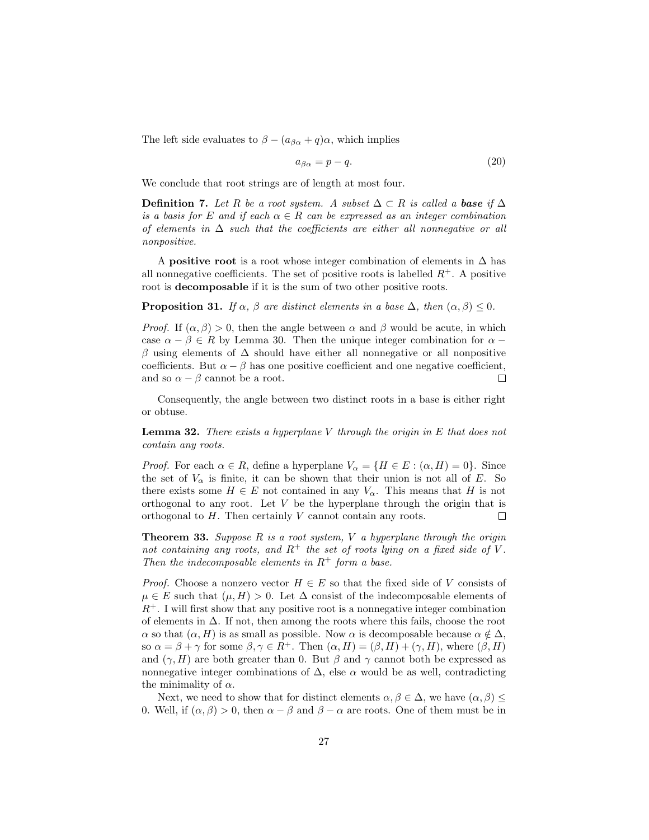The left side evaluates to  $\beta - (a_{\beta\alpha} + q)\alpha$ , which implies

$$
a_{\beta\alpha} = p - q.\tag{20}
$$

We conclude that root strings are of length at most four.

**Definition 7.** Let R be a root system. A subset  $\Delta \subset R$  is called a **base** if  $\Delta$ is a basis for E and if each  $\alpha \in R$  can be expressed as an integer combination of elements in  $\Delta$  such that the coefficients are either all nonnegative or all nonpositive.

A **positive root** is a root whose integer combination of elements in  $\Delta$  has all nonnegative coefficients. The set of positive roots is labelled  $R^+$ . A positive root is decomposable if it is the sum of two other positive roots.

**Proposition 31.** If  $\alpha$ ,  $\beta$  are distinct elements in a base  $\Delta$ , then  $(\alpha, \beta) \leq 0$ .

*Proof.* If  $(\alpha, \beta) > 0$ , then the angle between  $\alpha$  and  $\beta$  would be acute, in which case  $\alpha - \beta \in R$  by Lemma 30. Then the unique integer combination for  $\alpha$ β using elements of ∆ should have either all nonnegative or all nonpositive coefficients. But  $\alpha - \beta$  has one positive coefficient and one negative coefficient, and so  $\alpha - \beta$  cannot be a root.  $\Box$ 

Consequently, the angle between two distinct roots in a base is either right or obtuse.

**Lemma 32.** There exists a hyperplane V through the origin in  $E$  that does not contain any roots.

*Proof.* For each  $\alpha \in R$ , define a hyperplane  $V_{\alpha} = \{H \in E : (\alpha, H) = 0\}$ . Since the set of  $V_{\alpha}$  is finite, it can be shown that their union is not all of E. So there exists some  $H \in E$  not contained in any  $V_{\alpha}$ . This means that H is not orthogonal to any root. Let  $V$  be the hyperplane through the origin that is orthogonal to H. Then certainly V cannot contain any roots.  $\Box$ 

**Theorem 33.** Suppose  $R$  is a root system,  $V$  a hyperplane through the origin not containing any roots, and  $R^+$  the set of roots lying on a fixed side of V. Then the indecomposable elements in  $R^+$  form a base.

*Proof.* Choose a nonzero vector  $H \in E$  so that the fixed side of V consists of  $\mu \in E$  such that  $(\mu, H) > 0$ . Let  $\Delta$  consist of the indecomposable elements of  $R^+$ . I will first show that any positive root is a nonnegative integer combination of elements in  $\Delta$ . If not, then among the roots where this fails, choose the root  $\alpha$  so that  $(\alpha, H)$  is as small as possible. Now  $\alpha$  is decomposable because  $\alpha \notin \Delta$ , so  $\alpha = \beta + \gamma$  for some  $\beta, \gamma \in R^+$ . Then  $(\alpha, H) = (\beta, H) + (\gamma, H)$ , where  $(\beta, H)$ and  $(\gamma, H)$  are both greater than 0. But  $\beta$  and  $\gamma$  cannot both be expressed as nonnegative integer combinations of  $\Delta$ , else  $\alpha$  would be as well, contradicting the minimality of  $\alpha$ .

Next, we need to show that for distinct elements  $\alpha, \beta \in \Delta$ , we have  $(\alpha, \beta) \leq$ 0. Well, if  $(\alpha, \beta) > 0$ , then  $\alpha - \beta$  and  $\beta - \alpha$  are roots. One of them must be in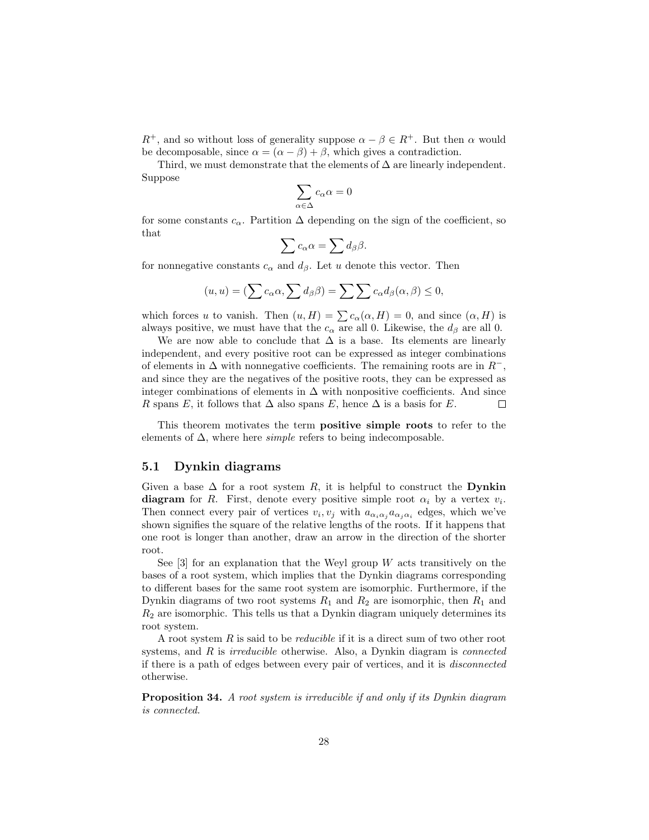$R^+$ , and so without loss of generality suppose  $\alpha - \beta \in R^+$ . But then  $\alpha$  would be decomposable, since  $\alpha = (\alpha - \beta) + \beta$ , which gives a contradiction.

Third, we must demonstrate that the elements of  $\Delta$  are linearly independent. Suppose

$$
\sum_{\alpha\in\Delta}c_\alpha\alpha=0
$$

for some constants  $c_{\alpha}$ . Partition  $\Delta$  depending on the sign of the coefficient, so that

$$
\sum c_{\alpha}\alpha = \sum d_{\beta}\beta.
$$

for nonnegative constants  $c_{\alpha}$  and  $d_{\beta}$ . Let u denote this vector. Then

$$
(u, u) = \left(\sum c_{\alpha}\alpha, \sum d_{\beta}\beta\right) = \sum \sum c_{\alpha}d_{\beta}(\alpha, \beta) \leq 0,
$$

which forces u to vanish. Then  $(u, H) = \sum c_{\alpha}(\alpha, H) = 0$ , and since  $(\alpha, H)$  is always positive, we must have that the  $c_{\alpha}$  are all 0. Likewise, the  $d_{\beta}$  are all 0.

We are now able to conclude that  $\Delta$  is a base. Its elements are linearly independent, and every positive root can be expressed as integer combinations of elements in  $\Delta$  with nonnegative coefficients. The remaining roots are in  $R^-$ , and since they are the negatives of the positive roots, they can be expressed as integer combinations of elements in  $\Delta$  with nonpositive coefficients. And since R spans E, it follows that  $\Delta$  also spans E, hence  $\Delta$  is a basis for E.  $\Box$ 

This theorem motivates the term positive simple roots to refer to the elements of  $\Delta$ , where here *simple* refers to being indecomposable.

#### 5.1 Dynkin diagrams

Given a base  $\Delta$  for a root system R, it is helpful to construct the **Dynkin** diagram for R. First, denote every positive simple root  $\alpha_i$  by a vertex  $v_i$ . Then connect every pair of vertices  $v_i, v_j$  with  $a_{\alpha_i \alpha_j} a_{\alpha_j \alpha_i}$  edges, which we've shown signifies the square of the relative lengths of the roots. If it happens that one root is longer than another, draw an arrow in the direction of the shorter root.

See  $[3]$  for an explanation that the Weyl group W acts transitively on the bases of a root system, which implies that the Dynkin diagrams corresponding to different bases for the same root system are isomorphic. Furthermore, if the Dynkin diagrams of two root systems  $R_1$  and  $R_2$  are isomorphic, then  $R_1$  and  $R<sub>2</sub>$  are isomorphic. This tells us that a Dynkin diagram uniquely determines its root system.

A root system  $R$  is said to be *reducible* if it is a direct sum of two other root systems, and  $R$  is *irreducible* otherwise. Also, a Dynkin diagram is *connected* if there is a path of edges between every pair of vertices, and it is disconnected otherwise.

Proposition 34. A root system is irreducible if and only if its Dynkin diagram is connected.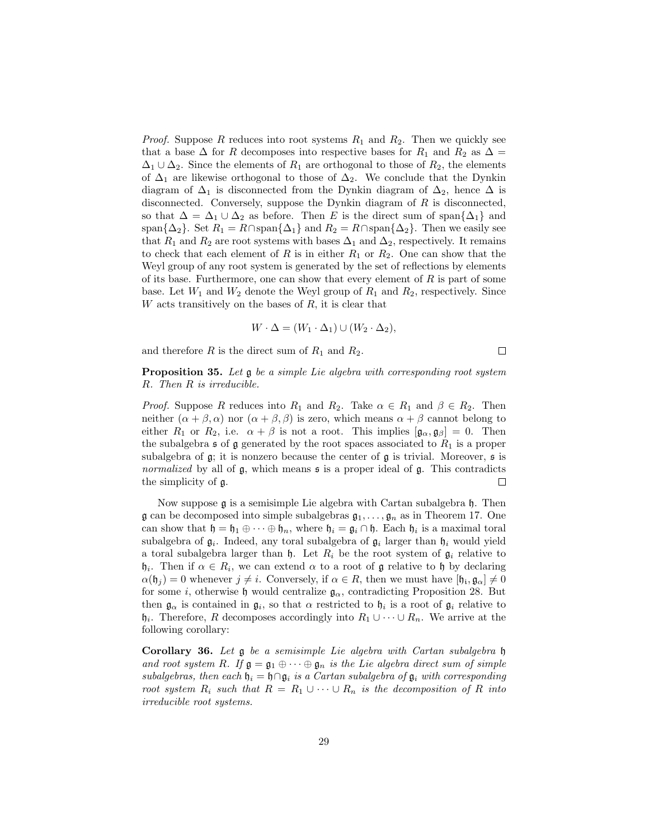*Proof.* Suppose R reduces into root systems  $R_1$  and  $R_2$ . Then we quickly see that a base  $\Delta$  for R decomposes into respective bases for  $R_1$  and  $R_2$  as  $\Delta =$  $\Delta_1 \cup \Delta_2$ . Since the elements of  $R_1$  are orthogonal to those of  $R_2$ , the elements of  $\Delta_1$  are likewise orthogonal to those of  $\Delta_2$ . We conclude that the Dynkin diagram of  $\Delta_1$  is disconnected from the Dynkin diagram of  $\Delta_2$ , hence  $\Delta$  is disconnected. Conversely, suppose the Dynkin diagram of  $R$  is disconnected, so that  $\Delta = \Delta_1 \cup \Delta_2$  as before. Then E is the direct sum of span $\{\Delta_1\}$  and span $\{\Delta_2\}$ . Set  $R_1 = R \cap \text{span}\{\Delta_1\}$  and  $R_2 = R \cap \text{span}\{\Delta_2\}$ . Then we easily see that  $R_1$  and  $R_2$  are root systems with bases  $\Delta_1$  and  $\Delta_2$ , respectively. It remains to check that each element of R is in either  $R_1$  or  $R_2$ . One can show that the Weyl group of any root system is generated by the set of reflections by elements of its base. Furthermore, one can show that every element of  $R$  is part of some base. Let  $W_1$  and  $W_2$  denote the Weyl group of  $R_1$  and  $R_2$ , respectively. Since W acts transitively on the bases of  $R$ , it is clear that

$$
W \cdot \Delta = (W_1 \cdot \Delta_1) \cup (W_2 \cdot \Delta_2),
$$

and therefore R is the direct sum of  $R_1$  and  $R_2$ .

 $\Box$ 

Proposition 35. Let  $\mathfrak g$  be a simple Lie algebra with corresponding root system R. Then R is irreducible.

*Proof.* Suppose R reduces into  $R_1$  and  $R_2$ . Take  $\alpha \in R_1$  and  $\beta \in R_2$ . Then neither  $(\alpha + \beta, \alpha)$  nor  $(\alpha + \beta, \beta)$  is zero, which means  $\alpha + \beta$  cannot belong to either  $R_1$  or  $R_2$ , i.e.  $\alpha + \beta$  is not a root. This implies  $[\mathfrak{g}_{\alpha}, \mathfrak{g}_{\beta}] = 0$ . Then the subalgebra s of g generated by the root spaces associated to  $R_1$  is a proper subalgebra of  $\mathfrak g$ ; it is nonzero because the center of  $\mathfrak g$  is trivial. Moreover,  $\mathfrak s$  is normalized by all of  $\mathfrak{g}$ , which means  $\mathfrak{s}$  is a proper ideal of  $\mathfrak{g}$ . This contradicts the simplicity of g.  $\Box$ 

Now suppose  $\mathfrak g$  is a semisimple Lie algebra with Cartan subalgebra  $\mathfrak h$ . Then  $\mathfrak g$  can be decomposed into simple subalgebras  $\mathfrak g_1, \ldots, \mathfrak g_n$  as in Theorem 17. One can show that  $\mathfrak{h} = \mathfrak{h}_1 \oplus \cdots \oplus \mathfrak{h}_n$ , where  $\mathfrak{h}_i = \mathfrak{g}_i \cap \mathfrak{h}$ . Each  $\mathfrak{h}_i$  is a maximal toral subalgebra of  $\mathfrak{g}_i$ . Indeed, any toral subalgebra of  $\mathfrak{g}_i$  larger than  $\mathfrak{h}_i$  would yield a toral subalgebra larger than  $\mathfrak{h}$ . Let  $R_i$  be the root system of  $\mathfrak{g}_i$  relative to  $\mathfrak{h}_i$ . Then if  $\alpha \in R_i$ , we can extend  $\alpha$  to a root of g relative to h by declaring  $\alpha(\mathfrak{h}_j) = 0$  whenever  $j \neq i$ . Conversely, if  $\alpha \in R$ , then we must have  $[\mathfrak{h}_i, \mathfrak{g}_{\alpha}] \neq 0$ for some i, otherwise h would centralize  $\mathfrak{g}_{\alpha}$ , contradicting Proposition 28. But then  $\mathfrak{g}_{\alpha}$  is contained in  $\mathfrak{g}_i$ , so that  $\alpha$  restricted to  $\mathfrak{h}_i$  is a root of  $\mathfrak{g}_i$  relative to  $\mathfrak{h}_i$ . Therefore, R decomposes accordingly into  $R_1 \cup \cdots \cup R_n$ . We arrive at the following corollary:

Corollary 36. Let g be a semisimple Lie algebra with Cartan subalgebra h and root system R. If  $\mathfrak{g} = \mathfrak{g}_1 \oplus \cdots \oplus \mathfrak{g}_n$  is the Lie algebra direct sum of simple subalgebras, then each  $\mathfrak{h}_i = \mathfrak{h} \cap \mathfrak{g}_i$  is a Cartan subalgebra of  $\mathfrak{g}_i$  with corresponding root system  $R_i$  such that  $R = R_1 \cup \cdots \cup R_n$  is the decomposition of R into irreducible root systems.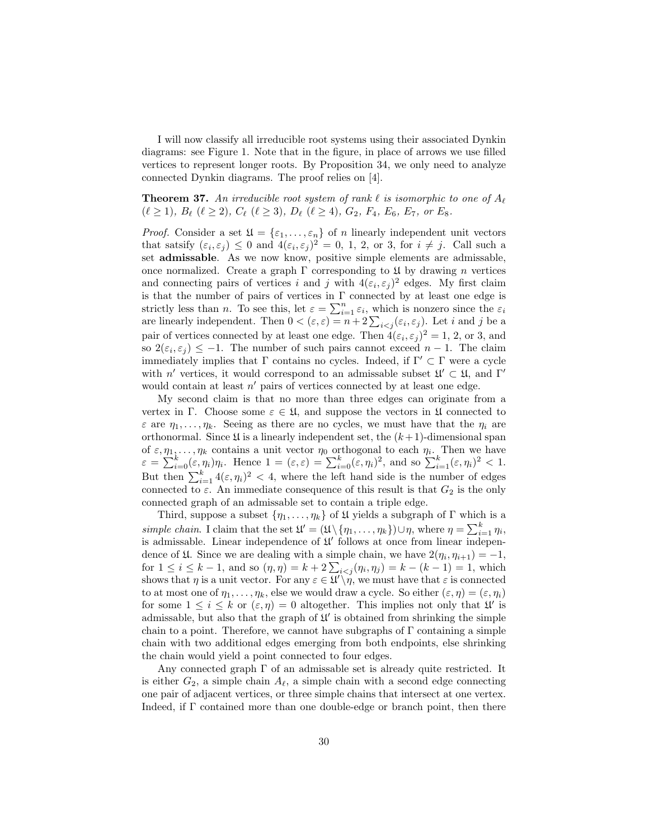I will now classify all irreducible root systems using their associated Dynkin diagrams: see Figure 1. Note that in the figure, in place of arrows we use filled vertices to represent longer roots. By Proposition 34, we only need to analyze connected Dynkin diagrams. The proof relies on [4].

#### **Theorem 37.** An irreducible root system of rank  $\ell$  is isomorphic to one of  $A_{\ell}$  $(\ell \geq 1), B_{\ell} \ (\ell \geq 2), C_{\ell} \ (\ell \geq 3), D_{\ell} \ (\ell \geq 4), G_2, F_4, E_6, E_7, or E_8.$

*Proof.* Consider a set  $\mathfrak{U} = \{\varepsilon_1, \ldots, \varepsilon_n\}$  of n linearly independent unit vectors that satsify  $(\varepsilon_i, \varepsilon_j) \leq 0$  and  $4(\varepsilon_i, \varepsilon_j)^2 = 0$ , 1, 2, or 3, for  $i \neq j$ . Call such a set admissable. As we now know, positive simple elements are admissable, once normalized. Create a graph  $\Gamma$  corresponding to  $\mathfrak U$  by drawing n vertices and connecting pairs of vertices i and j with  $4(\varepsilon_i, \varepsilon_j)^2$  edges. My first claim is that the number of pairs of vertices in  $\Gamma$  connected by at least one edge is strictly less than n. To see this, let  $\varepsilon = \sum_{i=1}^n \varepsilon_i$ , which is nonzero since the  $\varepsilon_i$ are linearly independent. Then  $0 < (\varepsilon, \varepsilon) = n + 2 \sum_{i < j} (\varepsilon_i, \varepsilon_j)$ . Let i and j be a pair of vertices connected by at least one edge. Then  $4(\varepsilon_i, \varepsilon_j)^2 = 1$ , 2, or 3, and so  $2(\varepsilon_i, \varepsilon_j) \leq -1$ . The number of such pairs cannot exceed  $n-1$ . The claim immediately implies that  $\Gamma$  contains no cycles. Indeed, if  $\Gamma' \subset \Gamma$  were a cycle with n' vertices, it would correspond to an admissable subset  $\mathfrak{U}' \subset \mathfrak{U}$ , and  $\Gamma'$ would contain at least  $n'$  pairs of vertices connected by at least one edge.

My second claim is that no more than three edges can originate from a vertex in Γ. Choose some  $\varepsilon \in \mathfrak{U}$ , and suppose the vectors in  $\mathfrak U$  connected to  $\varepsilon$  are  $\eta_1, \ldots, \eta_k$ . Seeing as there are no cycles, we must have that the  $\eta_i$  are orthonormal. Since  $\mathfrak U$  is a linearly independent set, the  $(k+1)$ -dimensional span of  $\varepsilon, \eta_1, \ldots, \eta_k$  contains a unit vector  $\eta_0$  orthogonal to each  $\eta_i$ . Then we have  $\varepsilon = \sum_{i=0}^{k} (\varepsilon, \eta_i) \eta_i$ . Hence  $1 = (\varepsilon, \varepsilon) = \sum_{i=0}^{k} (\varepsilon, \eta_i)^2$ , and so  $\sum_{i=1}^{k} (\varepsilon, \eta_i)^2 < 1$ . But then  $\sum_{i=1}^{k} 4(\varepsilon, \eta_i)^2 < 4$ , where the left hand side is the number of edges connected to  $\varepsilon$ . An immediate consequence of this result is that  $G_2$  is the only connected graph of an admissable set to contain a triple edge.

Third, suppose a subset  $\{\eta_1, \ldots, \eta_k\}$  of  $\mathfrak U$  yields a subgraph of  $\Gamma$  which is a simple chain. I claim that the set  $\mathfrak{U}' = (\mathfrak{U} \setminus \{\eta_1, \ldots, \eta_k\}) \cup \eta$ , where  $\eta = \sum_{i=1}^k \eta_i$ , is admissable. Linear independence of  $\mathfrak{U}'$  follows at once from linear independence of  $\mathfrak U$ . Since we are dealing with a simple chain, we have  $2(\eta_i, \eta_{i+1}) = -1$ , for  $1 \le i \le k - 1$ , and so  $(\eta, \eta) = k + 2 \sum_{i < j} (\eta_i, \eta_j) = k - (k - 1) = 1$ , which shows that  $\eta$  is a unit vector. For any  $\varepsilon \in \mathfrak{U} \setminus \eta$ , we must have that  $\varepsilon$  is connected to at most one of  $\eta_1, \ldots, \eta_k$ , else we would draw a cycle. So either  $(\varepsilon, \eta) = (\varepsilon, \eta_i)$ for some  $1 \leq i \leq k$  or  $(\varepsilon, \eta) = 0$  altogether. This implies not only that  $\mathfrak{U}'$  is admissable, but also that the graph of  $\mathfrak{U}'$  is obtained from shrinking the simple chain to a point. Therefore, we cannot have subgraphs of  $\Gamma$  containing a simple chain with two additional edges emerging from both endpoints, else shrinking the chain would yield a point connected to four edges.

Any connected graph  $\Gamma$  of an admissable set is already quite restricted. It is either  $G_2$ , a simple chain  $A_\ell$ , a simple chain with a second edge connecting one pair of adjacent vertices, or three simple chains that intersect at one vertex. Indeed, if  $\Gamma$  contained more than one double-edge or branch point, then there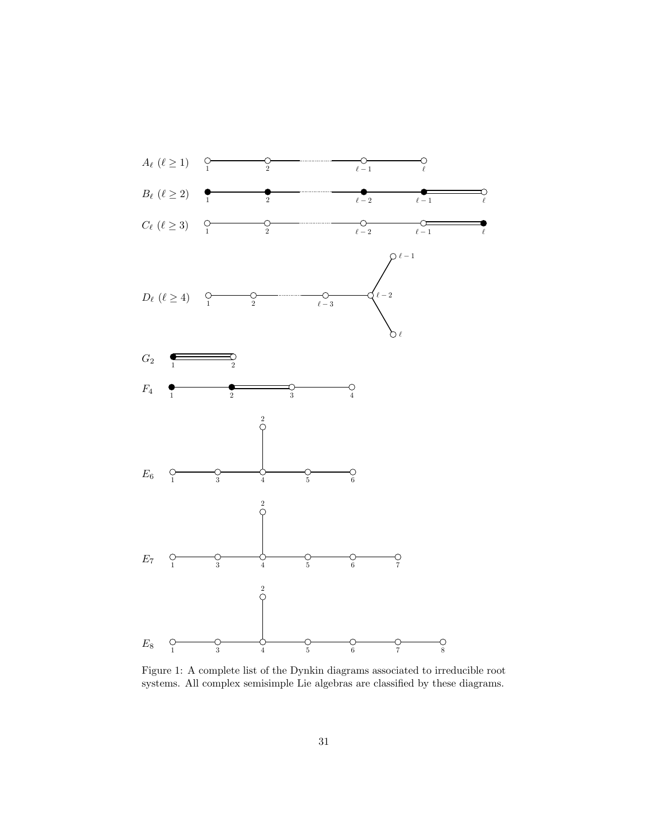

Figure 1: A complete list of the Dynkin diagrams associated to irreducible root systems. All complex semisimple Lie algebras are classified by these diagrams.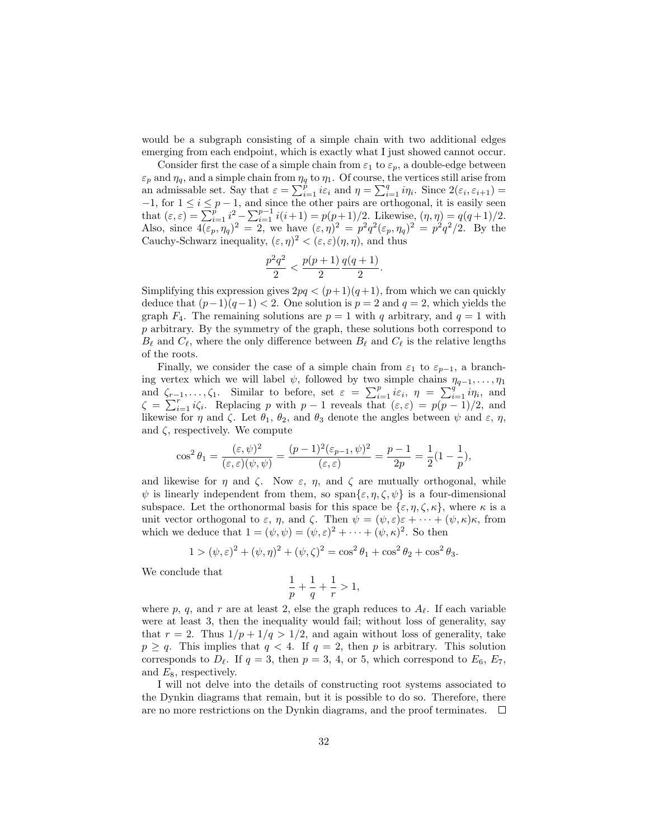would be a subgraph consisting of a simple chain with two additional edges emerging from each endpoint, which is exactly what I just showed cannot occur.

Consider first the case of a simple chain from  $\varepsilon_1$  to  $\varepsilon_p$ , a double-edge between  $\varepsilon_p$  and  $\eta_q$ , and a simple chain from  $\eta_q$  to  $\eta_1$ . Of course, the vertices still arise from an admissable set. Say that  $\varepsilon = \sum_{i=1}^{p} i \varepsilon_i$  and  $\eta = \sum_{i=1}^{q} i \eta_i$ . Since  $2(\varepsilon_i, \varepsilon_{i+1}) =$  $-1$ , for  $1 \leq i \leq p-1$ , and since the other pairs are orthogonal, it is easily seen that  $(\varepsilon, \varepsilon) = \sum_{i=1}^{p} i^2 - \sum_{i=1}^{p-1} i(i+1) = p(p+1)/2$ . Likewise,  $(\eta, \eta) = q(q+1)/2$ . Also, since  $4(\varepsilon_p, \eta_q)^2 = 2$ , we have  $(\varepsilon, \eta)^2 = p^2 q^2(\varepsilon_p, \eta_q)^2 = p^2 q^2/2$ . By the Cauchy-Schwarz inequality,  $(\varepsilon, \eta)^2 < (\varepsilon, \varepsilon)(\eta, \eta)$ , and thus

$$
\frac{p^2q^2}{2} < \frac{p(p+1)}{2} \frac{q(q+1)}{2}.
$$

Simplifying this expression gives  $2pq < (p+1)(q+1)$ , from which we can quickly deduce that  $(p-1)(q-1) < 2$ . One solution is  $p = 2$  and  $q = 2$ , which yields the graph  $F_4$ . The remaining solutions are  $p = 1$  with q arbitrary, and  $q = 1$  with p arbitrary. By the symmetry of the graph, these solutions both correspond to  $B_\ell$  and  $C_\ell$ , where the only difference between  $B_\ell$  and  $C_\ell$  is the relative lengths of the roots.

Finally, we consider the case of a simple chain from  $\varepsilon_1$  to  $\varepsilon_{p-1}$ , a branching vertex which we will label  $\psi$ , followed by two simple chains  $\eta_{q-1}, \ldots, \eta_1$ and  $\zeta_{r-1}, \ldots, \zeta_1$ . Similar to before, set  $\varepsilon = \sum_{i=1}^p i\varepsilon_i$ ,  $\eta = \sum_{i=1}^{q} i\eta_i$ , and  $\zeta = \sum_{i=1}^r i\zeta_i$ . Replacing p with  $p-1$  reveals that  $(\varepsilon, \varepsilon) = p(p-1)/2$ , and likewise for  $\eta$  and  $\zeta$ . Let  $\theta_1$ ,  $\theta_2$ , and  $\theta_3$  denote the angles between  $\psi$  and  $\varepsilon$ ,  $\eta$ , and  $\zeta$ , respectively. We compute

$$
\cos^2 \theta_1 = \frac{(\varepsilon, \psi)^2}{(\varepsilon, \varepsilon)(\psi, \psi)} = \frac{(p-1)^2(\varepsilon_{p-1}, \psi)^2}{(\varepsilon, \varepsilon)} = \frac{p-1}{2p} = \frac{1}{2}(1 - \frac{1}{p}),
$$

and likewise for  $\eta$  and  $\zeta$ . Now  $\varepsilon$ ,  $\eta$ , and  $\zeta$  are mutually orthogonal, while  $\psi$  is linearly independent from them, so span $\{\varepsilon, \eta, \zeta, \psi\}$  is a four-dimensional subspace. Let the orthonormal basis for this space be  $\{\varepsilon, \eta, \zeta, \kappa\}$ , where  $\kappa$  is a unit vector orthogonal to  $\varepsilon$ ,  $\eta$ , and  $\zeta$ . Then  $\psi = (\psi, \varepsilon)\varepsilon + \cdots + (\psi, \kappa)\kappa$ , from which we deduce that  $1 = (\psi, \psi) = (\psi, \varepsilon)^2 + \cdots + (\psi, \kappa)^2$ . So then

$$
1 > (\psi, \varepsilon)^2 + (\psi, \eta)^2 + (\psi, \zeta)^2 = \cos^2 \theta_1 + \cos^2 \theta_2 + \cos^2 \theta_3.
$$

We conclude that

$$
\frac{1}{p}+\frac{1}{q}+\frac{1}{r}>1,
$$

where p, q, and r are at least 2, else the graph reduces to  $A_\ell$ . If each variable were at least 3, then the inequality would fail; without loss of generality, say that  $r = 2$ . Thus  $1/p + 1/q > 1/2$ , and again without loss of generality, take  $p \ge q$ . This implies that  $q < 4$ . If  $q = 2$ , then p is arbitrary. This solution corresponds to  $D_\ell$ . If  $q = 3$ , then  $p = 3, 4$ , or 5, which correspond to  $E_6$ ,  $E_7$ , and  $E_8$ , respectively.

I will not delve into the details of constructing root systems associated to the Dynkin diagrams that remain, but it is possible to do so. Therefore, there are no more restrictions on the Dynkin diagrams, and the proof terminates.  $\Box$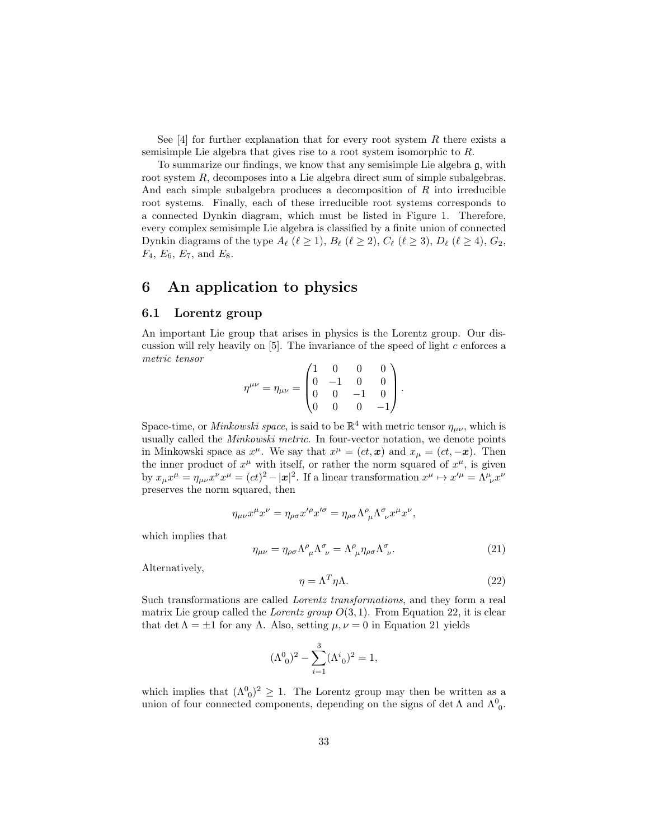See [4] for further explanation that for every root system  $R$  there exists a semisimple Lie algebra that gives rise to a root system isomorphic to R.

To summarize our findings, we know that any semisimple Lie algebra g, with root system R, decomposes into a Lie algebra direct sum of simple subalgebras. And each simple subalgebra produces a decomposition of R into irreducible root systems. Finally, each of these irreducible root systems corresponds to a connected Dynkin diagram, which must be listed in Figure 1. Therefore, every complex semisimple Lie algebra is classified by a finite union of connected Dynkin diagrams of the type  $A_\ell$  ( $\ell \geq 1$ ),  $B_\ell$  ( $\ell \geq 2$ ),  $C_\ell$  ( $\ell \geq 3$ ),  $D_\ell$  ( $\ell \geq 4$ ),  $G_2$ ,  $F_4, E_6, E_7$ , and  $E_8$ .

## 6 An application to physics

#### 6.1 Lorentz group

An important Lie group that arises in physics is the Lorentz group. Our discussion will rely heavily on  $[5]$ . The invariance of the speed of light c enforces a metric tensor

$$
\eta^{\mu\nu} = \eta_{\mu\nu} = \begin{pmatrix} 1 & 0 & 0 & 0 \\ 0 & -1 & 0 & 0 \\ 0 & 0 & -1 & 0 \\ 0 & 0 & 0 & -1 \end{pmatrix}.
$$

Space-time, or *Minkowski space*, is said to be  $\mathbb{R}^4$  with metric tensor  $\eta_{\mu\nu}$ , which is usually called the Minkowski metric. In four-vector notation, we denote points in Minkowski space as  $x^{\mu}$ . We say that  $x^{\mu} = (ct, x)$  and  $x_{\mu} = (ct, -x)$ . Then the inner product of  $x^{\mu}$  with itself, or rather the norm squared of  $x^{\mu}$ , is given by  $x_{\mu}x^{\mu} = \eta_{\mu\nu}x^{\nu}x^{\mu} = (ct)^2 - |\mathbf{x}|^2$ . If a linear transformation  $x^{\mu} \mapsto x'^{\mu} = \Lambda^{\mu}_{\ \nu}x^{\nu}$ preserves the norm squared, then

$$
\eta_{\mu\nu}x^{\mu}x^{\nu} = \eta_{\rho\sigma}x'^{\rho}x'^{\sigma} = \eta_{\rho\sigma}\Lambda^{\rho}_{\ \mu}\Lambda^{\sigma}_{\ \nu}x^{\mu}x^{\nu},
$$

which implies that

$$
\eta_{\mu\nu} = \eta_{\rho\sigma} \Lambda^{\rho}_{\ \mu} \Lambda^{\sigma}_{\ \nu} = \Lambda^{\rho}_{\ \mu} \eta_{\rho\sigma} \Lambda^{\sigma}_{\ \nu}.
$$
\n(21)

Alternatively,

$$
\eta = \Lambda^T \eta \Lambda. \tag{22}
$$

Such transformations are called Lorentz transformations, and they form a real matrix Lie group called the Lorentz group  $O(3, 1)$ . From Equation 22, it is clear that det  $\Lambda = \pm 1$  for any  $\Lambda$ . Also, setting  $\mu, \nu = 0$  in Equation 21 yields

$$
(\Lambda^0_0)^2 - \sum_{i=1}^3 (\Lambda^i_0)^2 = 1,
$$

which implies that  $({\Lambda^0}_0)^2 \geq 1$ . The Lorentz group may then be written as a union of four connected components, depending on the signs of det  $\Lambda$  and  $\Lambda^0_{\phantom{0}0}$ .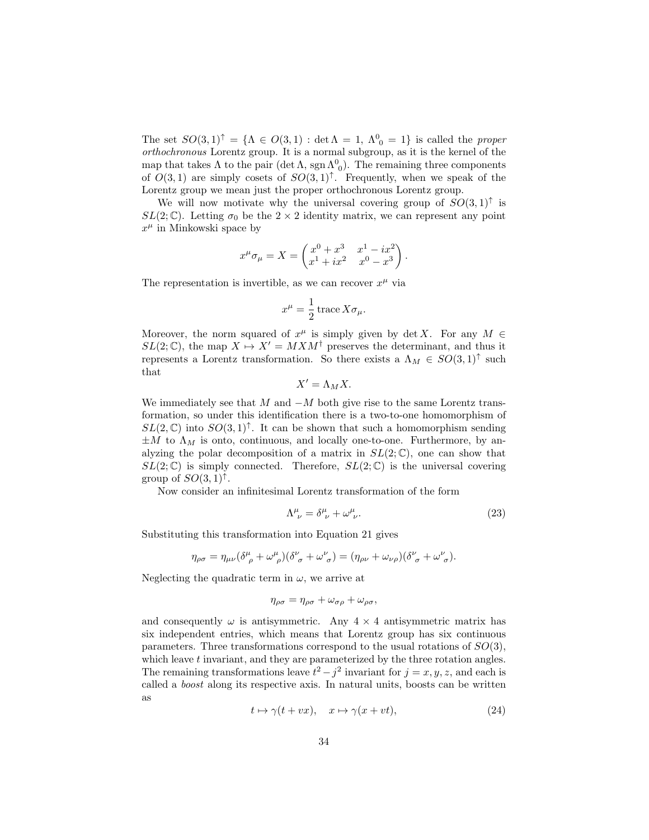The set  $SO(3,1)^{\uparrow} = {\Lambda \in O(3,1) : \det \Lambda = 1, \Lambda^0_{0} = 1}$  is called the proper orthochronous Lorentz group. It is a normal subgroup, as it is the kernel of the map that takes  $\Lambda$  to the pair (det  $\Lambda$ , sgn  $\Lambda^0_{\ 0}$ ). The remaining three components of  $O(3,1)$  are simply cosets of  $SO(3,1)^{\uparrow}$ . Frequently, when we speak of the Lorentz group we mean just the proper orthochronous Lorentz group.

We will now motivate why the universal covering group of  $SO(3,1)$ <sup> $\uparrow$ </sup> is  $SL(2;\mathbb{C})$ . Letting  $\sigma_0$  be the  $2 \times 2$  identity matrix, we can represent any point  $x^{\mu}$  in Minkowski space by

$$
x^{\mu}\sigma_{\mu} = X = \begin{pmatrix} x^{0} + x^{3} & x^{1} - ix^{2} \\ x^{1} + ix^{2} & x^{0} - x^{3} \end{pmatrix}.
$$

The representation is invertible, as we can recover  $x^{\mu}$  via

$$
x^{\mu} = \frac{1}{2} \operatorname{trace} X \sigma_{\mu}.
$$

Moreover, the norm squared of  $x^{\mu}$  is simply given by det X. For any  $M \in$  $SL(2;\mathbb{C})$ , the map  $X \mapsto X' = MXM^{\dagger}$  preserves the determinant, and thus it represents a Lorentz transformation. So there exists a  $\Lambda_M \in SO(3,1)$ <sup>†</sup> such that

$$
X' = \Lambda_M X.
$$

We immediately see that  $M$  and  $-M$  both give rise to the same Lorentz transformation, so under this identification there is a two-to-one homomorphism of  $SL(2,\mathbb{C})$  into  $SO(3,1)^{\uparrow}$ . It can be shown that such a homomorphism sending  $\pm M$  to  $\Lambda_M$  is onto, continuous, and locally one-to-one. Furthermore, by analyzing the polar decomposition of a matrix in  $SL(2;\mathbb{C})$ , one can show that  $SL(2;\mathbb{C})$  is simply connected. Therefore,  $SL(2;\mathbb{C})$  is the universal covering group of  $SO(3,1)^{\uparrow}$ .

Now consider an infinitesimal Lorentz transformation of the form

$$
\Lambda^{\mu}_{\ \nu} = \delta^{\mu}_{\ \nu} + \omega^{\mu}_{\ \nu}.\tag{23}
$$

Substituting this transformation into Equation 21 gives

$$
\eta_{\rho\sigma} = \eta_{\mu\nu} (\delta^{\mu}_{\ \rho} + \omega^{\mu}_{\ \rho})(\delta^{\nu}_{\ \sigma} + \omega^{\nu}_{\ \sigma}) = (\eta_{\rho\nu} + \omega_{\nu\rho})(\delta^{\nu}_{\ \sigma} + \omega^{\nu}_{\ \sigma}).
$$

Neglecting the quadratic term in  $\omega$ , we arrive at

$$
\eta_{\rho\sigma} = \eta_{\rho\sigma} + \omega_{\sigma\rho} + \omega_{\rho\sigma},
$$

and consequently  $\omega$  is antisymmetric. Any  $4 \times 4$  antisymmetric matrix has six independent entries, which means that Lorentz group has six continuous parameters. Three transformations correspond to the usual rotations of SO(3), which leave  $t$  invariant, and they are parameterized by the three rotation angles. The remaining transformations leave  $t^2 - j^2$  invariant for  $j = x, y, z$ , and each is called a boost along its respective axis. In natural units, boosts can be written as

$$
t \mapsto \gamma(t + vx), \quad x \mapsto \gamma(x + vt), \tag{24}
$$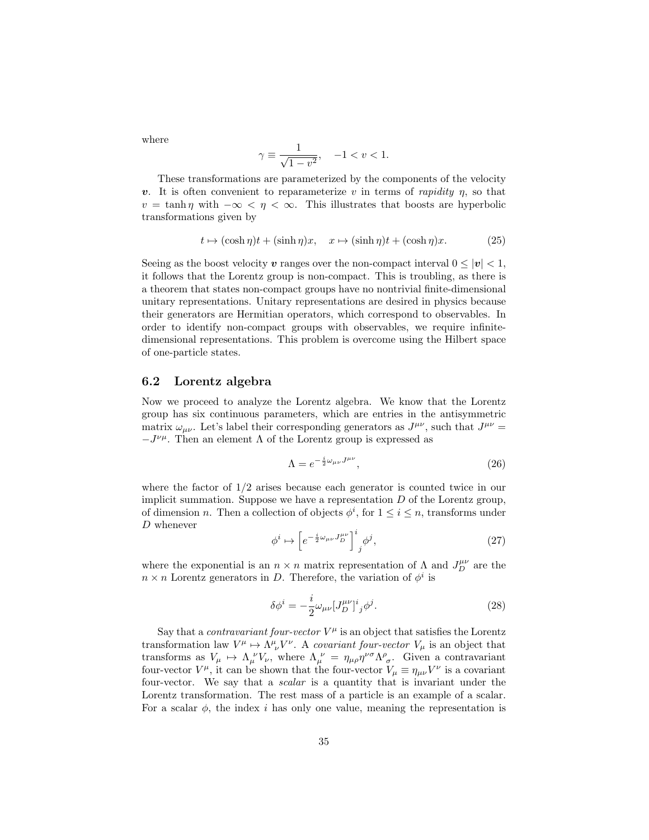where

$$
\gamma \equiv \frac{1}{\sqrt{1 - v^2}}, \quad -1 < v < 1.
$$

These transformations are parameterized by the components of the velocity v. It is often convenient to reparameterize v in terms of rapidity  $\eta$ , so that  $v = \tanh \eta$  with  $-\infty < \eta < \infty$ . This illustrates that boosts are hyperbolic transformations given by

$$
t \mapsto (\cosh \eta)t + (\sinh \eta)x, \quad x \mapsto (\sinh \eta)t + (\cosh \eta)x. \tag{25}
$$

Seeing as the boost velocity v ranges over the non-compact interval  $0 \leq |v| < 1$ , it follows that the Lorentz group is non-compact. This is troubling, as there is a theorem that states non-compact groups have no nontrivial finite-dimensional unitary representations. Unitary representations are desired in physics because their generators are Hermitian operators, which correspond to observables. In order to identify non-compact groups with observables, we require infinitedimensional representations. This problem is overcome using the Hilbert space of one-particle states.

#### 6.2 Lorentz algebra

Now we proceed to analyze the Lorentz algebra. We know that the Lorentz group has six continuous parameters, which are entries in the antisymmetric matrix  $\omega_{\mu\nu}$ . Let's label their corresponding generators as  $J^{\mu\nu}$ , such that  $J^{\mu\nu} =$  $-J^{\nu\mu}$ . Then an element Λ of the Lorentz group is expressed as

$$
\Lambda = e^{-\frac{i}{2}\omega_{\mu\nu}J^{\mu\nu}},\tag{26}
$$

where the factor of  $1/2$  arises because each generator is counted twice in our implicit summation. Suppose we have a representation  $D$  of the Lorentz group, of dimension *n*. Then a collection of objects  $\phi^i$ , for  $1 \leq i \leq n$ , transforms under D whenever

$$
\phi^i \mapsto \left[ e^{-\frac{i}{2}\omega_{\mu\nu}J_D^{\mu\nu}} \right]^i_j \phi^j,\tag{27}
$$

where the exponential is an  $n \times n$  matrix representation of  $\Lambda$  and  $J_D^{\mu\nu}$  are the  $n \times n$  Lorentz generators in D. Therefore, the variation of  $\phi^i$  is

$$
\delta \phi^i = -\frac{i}{2} \omega_{\mu\nu} [J_D^{\mu\nu}]^i{}_j \phi^j. \tag{28}
$$

Say that a *contravariant four-vector*  $V^{\mu}$  is an object that satisfies the Lorentz transformation law  $V^{\mu} \mapsto \Lambda^{\mu}_{\ \nu} V^{\nu}$ . A covariant four-vector  $V_{\mu}$  is an object that transforms as  $V_\mu \mapsto \Lambda_\mu^{\ \nu} V_\nu$ , where  $\Lambda_\mu^{\ \nu} = \eta_{\mu\rho} \eta^{\nu\sigma} \Lambda^\rho_{\ \sigma}$ . Given a contravariant four-vector  $V^{\mu}$ , it can be shown that the four-vector  $V_{\mu} \equiv \eta_{\mu\nu}V^{\nu}$  is a covariant four-vector. We say that a scalar is a quantity that is invariant under the Lorentz transformation. The rest mass of a particle is an example of a scalar. For a scalar  $\phi$ , the index i has only one value, meaning the representation is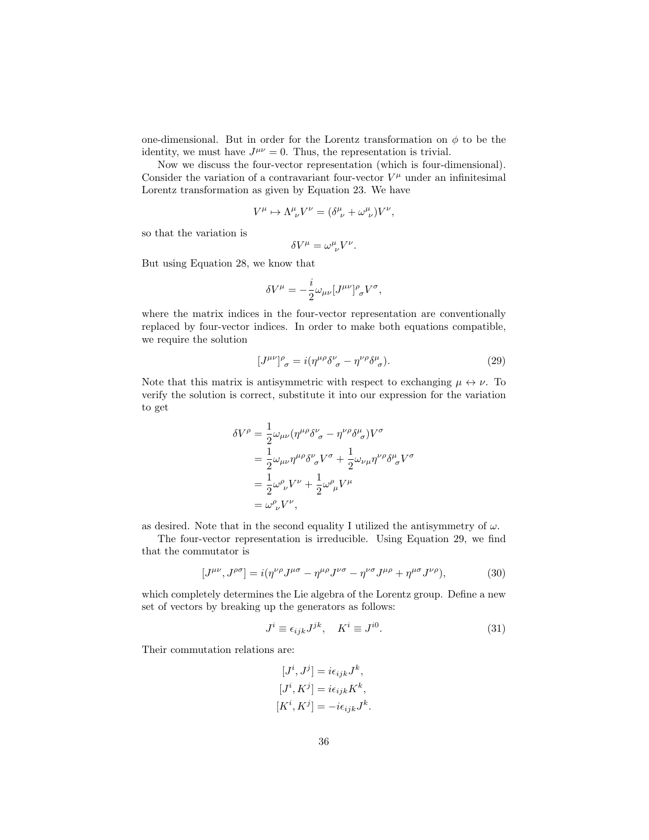one-dimensional. But in order for the Lorentz transformation on  $\phi$  to be the identity, we must have  $J^{\mu\nu} = 0$ . Thus, the representation is trivial.

Now we discuss the four-vector representation (which is four-dimensional). Consider the variation of a contravariant four-vector  $V^{\mu}$  under an infinitesimal Lorentz transformation as given by Equation 23. We have

$$
V^{\mu} \mapsto \Lambda^{\mu}_{\ \nu} V^{\nu} = (\delta^{\mu}_{\ \nu} + \omega^{\mu}_{\ \nu}) V^{\nu},
$$

so that the variation is

$$
\delta V^\mu = \omega^\mu_{\ \nu} V^\nu.
$$

But using Equation 28, we know that

$$
\delta V^{\mu} = -\frac{i}{2}\omega_{\mu\nu}[J^{\mu\nu}]^{\rho}_{\ \sigma}V^{\sigma},
$$

where the matrix indices in the four-vector representation are conventionally replaced by four-vector indices. In order to make both equations compatible, we require the solution

$$
[J^{\mu\nu}]^{\rho}_{\sigma} = i(\eta^{\mu\rho}\delta^{\nu}_{\ \sigma} - \eta^{\nu\rho}\delta^{\mu}_{\ \sigma}).\tag{29}
$$

Note that this matrix is antisymmetric with respect to exchanging  $\mu \leftrightarrow \nu$ . To verify the solution is correct, substitute it into our expression for the variation to get

$$
\delta V^{\rho} = \frac{1}{2} \omega_{\mu\nu} (\eta^{\mu\rho} \delta^{\nu}_{\ \sigma} - \eta^{\nu\rho} \delta^{\mu}_{\ \sigma}) V^{\sigma}
$$
  
= 
$$
\frac{1}{2} \omega_{\mu\nu} \eta^{\mu\rho} \delta^{\nu}_{\ \sigma} V^{\sigma} + \frac{1}{2} \omega_{\nu\mu} \eta^{\nu\rho} \delta^{\mu}_{\ \sigma} V^{\sigma}
$$
  
= 
$$
\frac{1}{2} \omega^{\rho}_{\ \nu} V^{\nu} + \frac{1}{2} \omega^{\rho}_{\ \mu} V^{\mu}
$$
  
= 
$$
\omega^{\rho}_{\ \nu} V^{\nu},
$$

as desired. Note that in the second equality I utilized the antisymmetry of  $\omega$ .

The four-vector representation is irreducible. Using Equation 29, we find that the commutator is

$$
[J^{\mu\nu}, J^{\rho\sigma}] = i(\eta^{\nu\rho}J^{\mu\sigma} - \eta^{\mu\rho}J^{\nu\sigma} - \eta^{\nu\sigma}J^{\mu\rho} + \eta^{\mu\sigma}J^{\nu\rho}),
$$
(30)

which completely determines the Lie algebra of the Lorentz group. Define a new set of vectors by breaking up the generators as follows:

$$
J^i \equiv \epsilon_{ijk} J^{jk}, \quad K^i \equiv J^{i0}.
$$
 (31)

Their commutation relations are:

$$
[J^i, J^j] = i\epsilon_{ijk}J^k,
$$
  
\n
$$
[J^i, K^j] = i\epsilon_{ijk}K^k,
$$
  
\n
$$
[K^i, K^j] = -i\epsilon_{ijk}J^k.
$$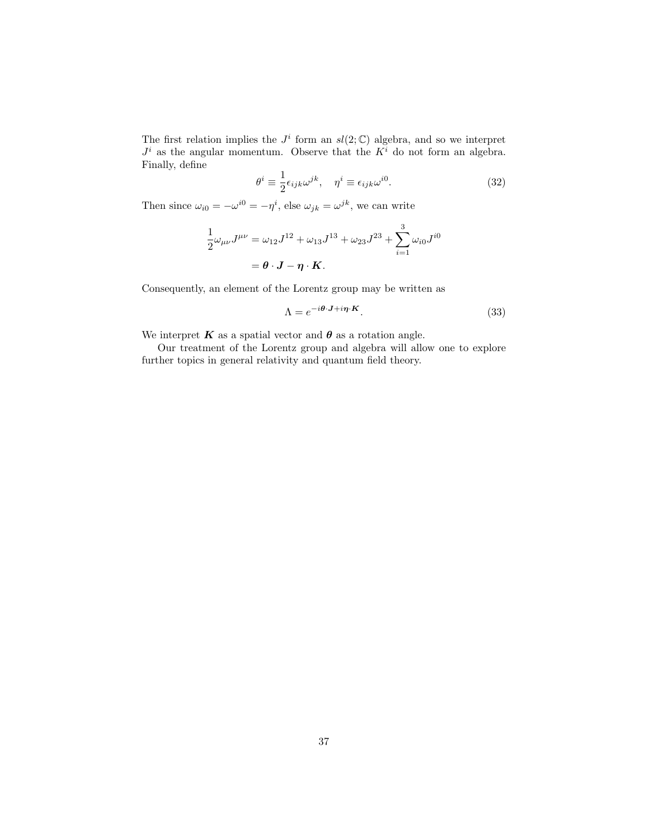The first relation implies the  $J^i$  form an  $sl(2;\mathbb{C})$  algebra, and so we interpret  $J^i$  as the angular momentum. Observe that the  $K^i$  do not form an algebra. Finally, define 1

$$
\theta^i \equiv \frac{1}{2} \epsilon_{ijk} \omega^{jk}, \quad \eta^i \equiv \epsilon_{ijk} \omega^{i0}.
$$
 (32)

Then since  $\omega_{i0} = -\omega^{i0} = -\eta^i$ , else  $\omega_{jk} = \omega^{jk}$ , we can write

$$
\frac{1}{2}\omega_{\mu\nu}J^{\mu\nu} = \omega_{12}J^{12} + \omega_{13}J^{13} + \omega_{23}J^{23} + \sum_{i=1}^{3}\omega_{i0}J^{i0}
$$

$$
= \theta \cdot \mathbf{J} - \eta \cdot \mathbf{K}.
$$

Consequently, an element of the Lorentz group may be written as

$$
\Lambda = e^{-i\theta \cdot \mathbf{J} + i\boldsymbol{\eta} \cdot \mathbf{K}}.
$$
\n(33)

We interpret  $K$  as a spatial vector and  $\theta$  as a rotation angle.

Our treatment of the Lorentz group and algebra will allow one to explore further topics in general relativity and quantum field theory.